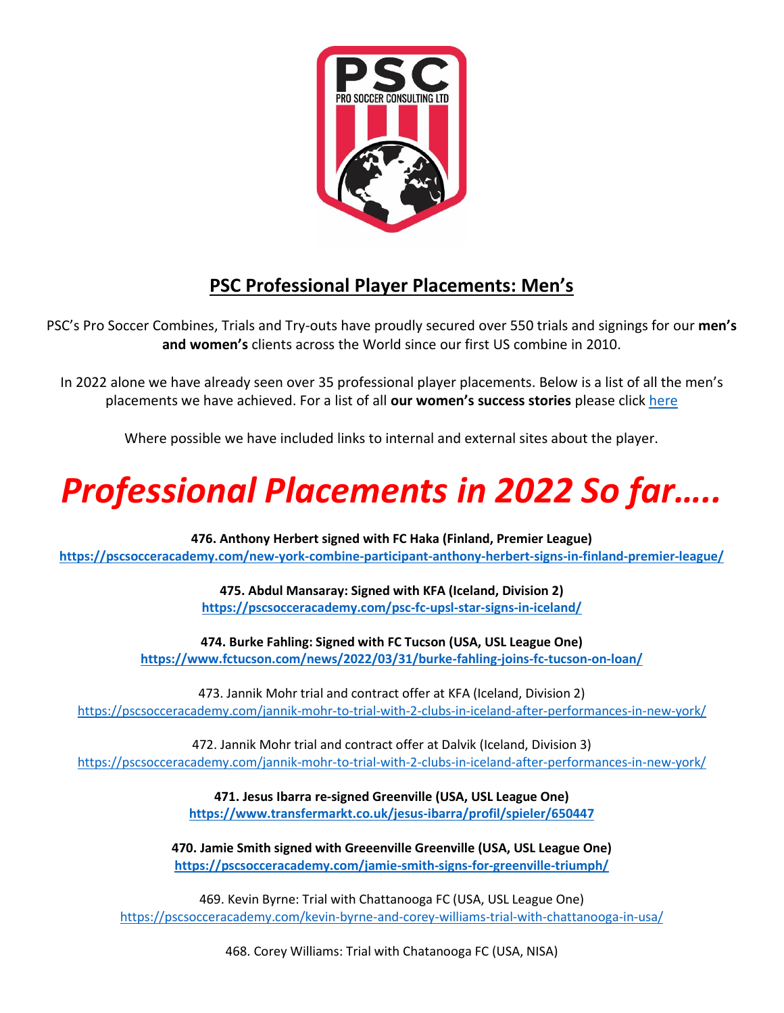

### **PSC Professional Player Placements: Men's**

PSC's Pro Soccer Combines, Trials and Try-outs have proudly secured over 550 trials and signings for our **men's and women's** clients across the World since our first US combine in 2010.

In 2022 alone we have already seen over 35 professional player placements. Below is a list of all the men's placements we have achieved. For a list of all **our women's success stories** please click [here](https://www.pscsocceracademy.com/women-success-stories/)

Where possible we have included links to internal and external sites about the player.

# *Professional Placements in 2022 So far…..*

**476. Anthony Herbert signed with FC Haka (Finland, Premier League) <https://pscsocceracademy.com/new-york-combine-participant-anthony-herbert-signs-in-finland-premier-league/>**

> **475. Abdul Mansaray: Signed with KFA (Iceland, Division 2) <https://pscsocceracademy.com/psc-fc-upsl-star-signs-in-iceland/>**

**474. Burke Fahling: Signed with FC Tucson (USA, USL League One) <https://www.fctucson.com/news/2022/03/31/burke-fahling-joins-fc-tucson-on-loan/>**

473. Jannik Mohr trial and contract offer at KFA (Iceland, Division 2) <https://pscsocceracademy.com/jannik-mohr-to-trial-with-2-clubs-in-iceland-after-performances-in-new-york/>

472. Jannik Mohr trial and contract offer at Dalvik (Iceland, Division 3) <https://pscsocceracademy.com/jannik-mohr-to-trial-with-2-clubs-in-iceland-after-performances-in-new-york/>

> **471. Jesus Ibarra re-signed Greenville (USA, USL League One) <https://www.transfermarkt.co.uk/jesus-ibarra/profil/spieler/650447>**

**470. Jamie Smith signed with Greeenville Greenville (USA, USL League One) <https://pscsocceracademy.com/jamie-smith-signs-for-greenville-triumph/>**

469. Kevin Byrne: Trial with Chattanooga FC (USA, USL League One) <https://pscsocceracademy.com/kevin-byrne-and-corey-williams-trial-with-chattanooga-in-usa/>

468. Corey Williams: Trial with Chatanooga FC (USA, NISA)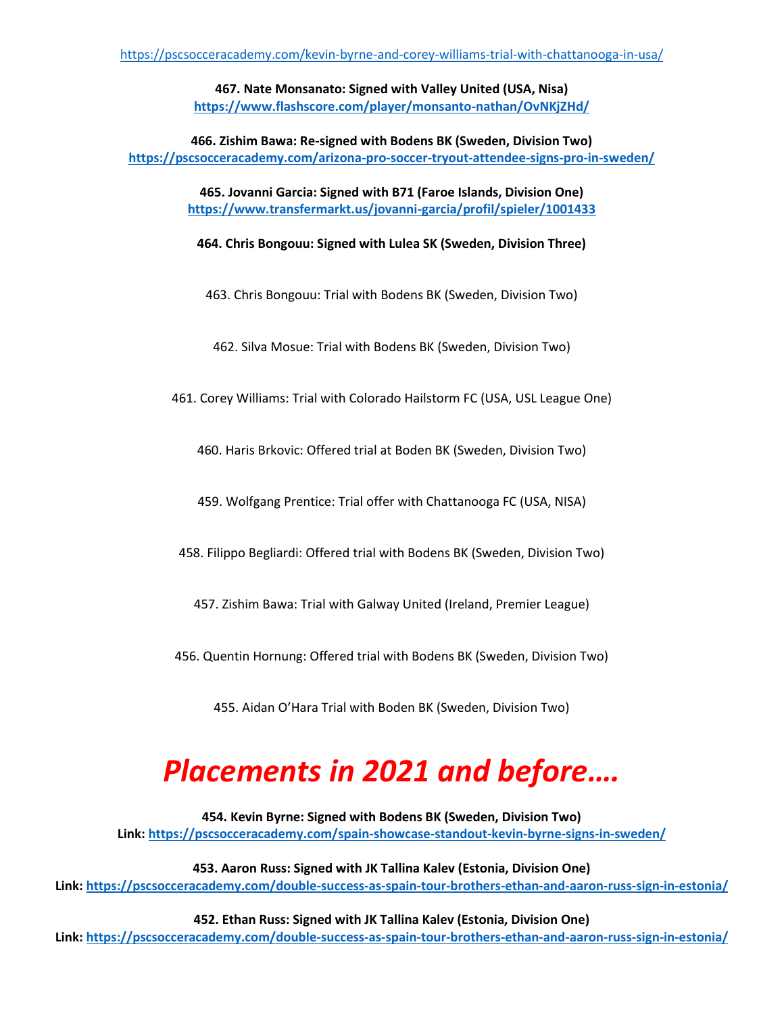**467. Nate Monsanato: Signed with Valley United (USA, Nisa) <https://www.flashscore.com/player/monsanto-nathan/OvNKjZHd/>**

**466. Zishim Bawa: Re-signed with Bodens BK (Sweden, Division Two) <https://pscsocceracademy.com/arizona-pro-soccer-tryout-attendee-signs-pro-in-sweden/>**

> **465. Jovanni Garcia: Signed with B71 (Faroe Islands, Division One) <https://www.transfermarkt.us/jovanni-garcia/profil/spieler/1001433>**

**464. Chris Bongouu: Signed with Lulea SK (Sweden, Division Three)**

463. Chris Bongouu: Trial with Bodens BK (Sweden, Division Two)

462. Silva Mosue: Trial with Bodens BK (Sweden, Division Two)

461. Corey Williams: Trial with Colorado Hailstorm FC (USA, USL League One)

460. Haris Brkovic: Offered trial at Boden BK (Sweden, Division Two)

459. Wolfgang Prentice: Trial offer with Chattanooga FC (USA, NISA)

458. Filippo Begliardi: Offered trial with Bodens BK (Sweden, Division Two)

457. Zishim Bawa: Trial with Galway United (Ireland, Premier League)

456. Quentin Hornung: Offered trial with Bodens BK (Sweden, Division Two)

455. Aidan O'Hara Trial with Boden BK (Sweden, Division Two)

## *Placements in 2021 and before….*

**454. Kevin Byrne: Signed with Bodens BK (Sweden, Division Two) Link:<https://pscsocceracademy.com/spain-showcase-standout-kevin-byrne-signs-in-sweden/>**

**453. Aaron Russ: Signed with JK Tallina Kalev (Estonia, Division One) Link:<https://pscsocceracademy.com/double-success-as-spain-tour-brothers-ethan-and-aaron-russ-sign-in-estonia/>**

**452. Ethan Russ: Signed with JK Tallina Kalev (Estonia, Division One) Link:<https://pscsocceracademy.com/double-success-as-spain-tour-brothers-ethan-and-aaron-russ-sign-in-estonia/>**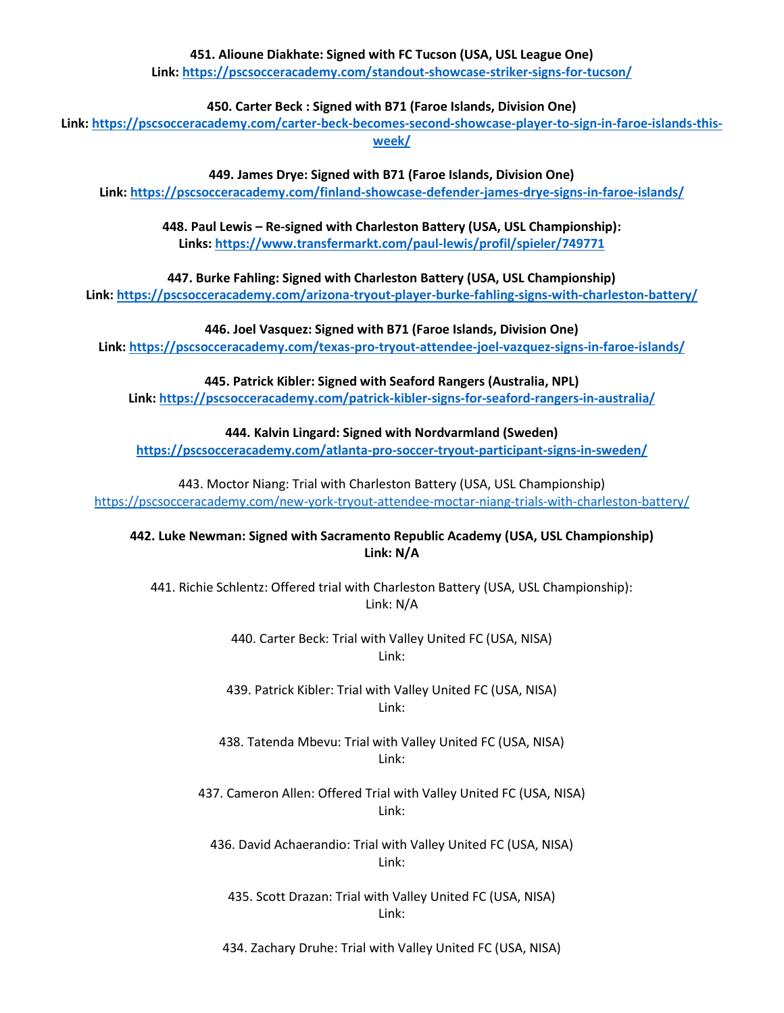#### **451. Alioune Diakhate: Signed with FC Tucson (USA, USL League One)**

**Link[: https://pscsocceracademy.com/standout-showcase-striker-signs-for-tucson/](https://pscsocceracademy.com/standout-showcase-striker-signs-for-tucson/)**

#### **450. Carter Beck : Signed with B71 (Faroe Islands, Division One)**

**Link: [https://pscsocceracademy.com/carter-beck-becomes-second-showcase-player-to-sign-in-faroe-islands-this](https://pscsocceracademy.com/carter-beck-becomes-second-showcase-player-to-sign-in-faroe-islands-this-week/)[week/](https://pscsocceracademy.com/carter-beck-becomes-second-showcase-player-to-sign-in-faroe-islands-this-week/)**

**449. James Drye: Signed with B71 (Faroe Islands, Division One)**

**Link[: https://pscsocceracademy.com/finland-showcase-defender-james-drye-signs-in-faroe-islands/](https://pscsocceracademy.com/finland-showcase-defender-james-drye-signs-in-faroe-islands/)**

**448. Paul Lewis – Re-signed with Charleston Battery (USA, USL Championship): Links:<https://www.transfermarkt.com/paul-lewis/profil/spieler/749771>**

**447. Burke Fahling: Signed with Charleston Battery (USA, USL Championship)**

**Link:<https://pscsocceracademy.com/arizona-tryout-player-burke-fahling-signs-with-charleston-battery/>**

**446. Joel Vasquez: Signed with B71 (Faroe Islands, Division One) Link:<https://pscsocceracademy.com/texas-pro-tryout-attendee-joel-vazquez-signs-in-faroe-islands/>**

**445. Patrick Kibler: Signed with Seaford Rangers (Australia, NPL)**

**Link[: https://pscsocceracademy.com/patrick-kibler-signs-for-seaford-rangers-in-australia/](https://pscsocceracademy.com/patrick-kibler-signs-for-seaford-rangers-in-australia/)**

**444. Kalvin Lingard: Signed with Nordvarmland (Sweden) <https://pscsocceracademy.com/atlanta-pro-soccer-tryout-participant-signs-in-sweden/>**

443. Moctor Niang: Trial with Charleston Battery (USA, USL Championship) <https://pscsocceracademy.com/new-york-tryout-attendee-moctar-niang-trials-with-charleston-battery/>

**442. Luke Newman: Signed with Sacramento Republic Academy (USA, USL Championship) Link: N/A**

441. Richie Schlentz: Offered trial with Charleston Battery (USA, USL Championship): Link: N/A

> 440. Carter Beck: Trial with Valley United FC (USA, NISA) Link:

439. Patrick Kibler: Trial with Valley United FC (USA, NISA) Link:

438. Tatenda Mbevu: Trial with Valley United FC (USA, NISA) Link:

437. Cameron Allen: Offered Trial with Valley United FC (USA, NISA) Link:

436. David Achaerandio: Trial with Valley United FC (USA, NISA) Link:

435. Scott Drazan: Trial with Valley United FC (USA, NISA) Link:

434. Zachary Druhe: Trial with Valley United FC (USA, NISA)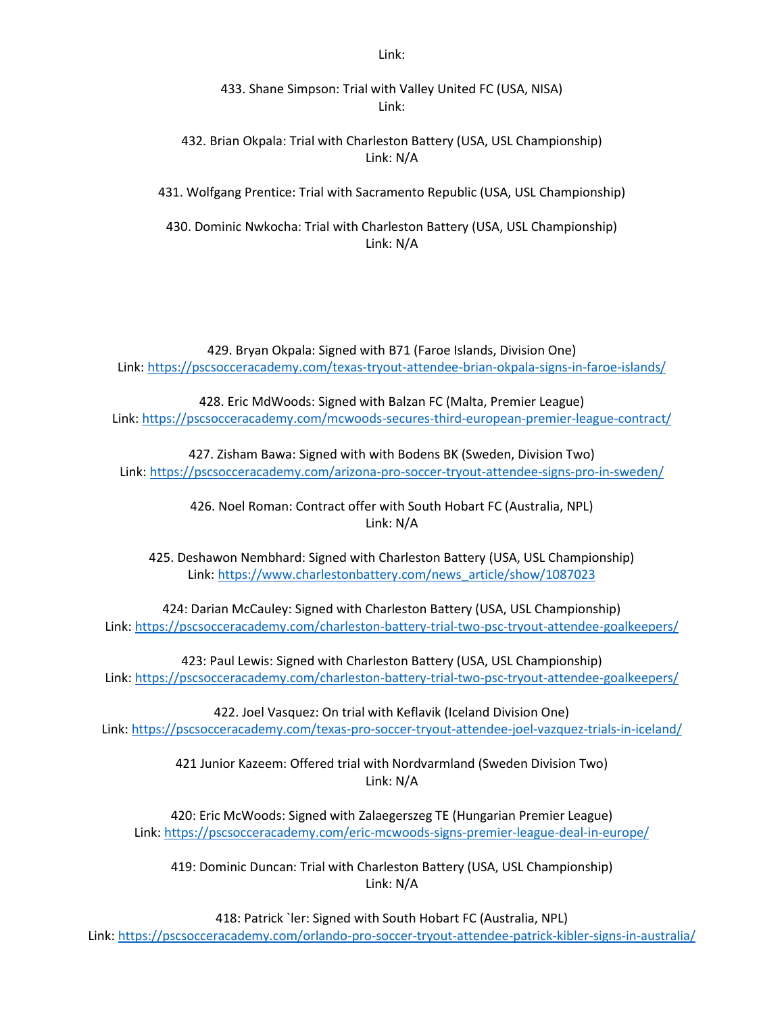Link:

433. Shane Simpson: Trial with Valley United FC (USA, NISA) Link:

432. Brian Okpala: Trial with Charleston Battery (USA, USL Championship) Link: N/A

431. Wolfgang Prentice: Trial with Sacramento Republic (USA, USL Championship)

430. Dominic Nwkocha: Trial with Charleston Battery (USA, USL Championship) Link: N/A

429. Bryan Okpala: Signed with B71 (Faroe Islands, Division One) Link:<https://pscsocceracademy.com/texas-tryout-attendee-brian-okpala-signs-in-faroe-islands/>

428. Eric MdWoods: Signed with Balzan FC (Malta, Premier League) Link:<https://pscsocceracademy.com/mcwoods-secures-third-european-premier-league-contract/>

427. Zisham Bawa: Signed with with Bodens BK (Sweden, Division Two) Link:<https://pscsocceracademy.com/arizona-pro-soccer-tryout-attendee-signs-pro-in-sweden/>

> 426. Noel Roman: Contract offer with South Hobart FC (Australia, NPL) Link: N/A

425. Deshawon Nembhard: Signed with Charleston Battery (USA, USL Championship) Link: [https://www.charlestonbattery.com/news\\_article/show/1087023](https://www.charlestonbattery.com/news_article/show/1087023)

424: Darian McCauley: Signed with Charleston Battery (USA, USL Championship) Link:<https://pscsocceracademy.com/charleston-battery-trial-two-psc-tryout-attendee-goalkeepers/>

423: Paul Lewis: Signed with Charleston Battery (USA, USL Championship) Link:<https://pscsocceracademy.com/charleston-battery-trial-two-psc-tryout-attendee-goalkeepers/>

422. Joel Vasquez: On trial with Keflavik (Iceland Division One) Link[: https://pscsocceracademy.com/texas-pro-soccer-tryout-attendee-joel-vazquez-trials-in-iceland/](https://pscsocceracademy.com/texas-pro-soccer-tryout-attendee-joel-vazquez-trials-in-iceland/)

> 421 Junior Kazeem: Offered trial with Nordvarmland (Sweden Division Two) Link: N/A

420: Eric McWoods: Signed with Zalaegerszeg TE (Hungarian Premier League) Link:<https://pscsocceracademy.com/eric-mcwoods-signs-premier-league-deal-in-europe/>

419: Dominic Duncan: Trial with Charleston Battery (USA, USL Championship) Link: N/A

418: Patrick `ler: Signed with South Hobart FC (Australia, NPL) Link: <https://pscsocceracademy.com/orlando-pro-soccer-tryout-attendee-patrick-kibler-signs-in-australia/>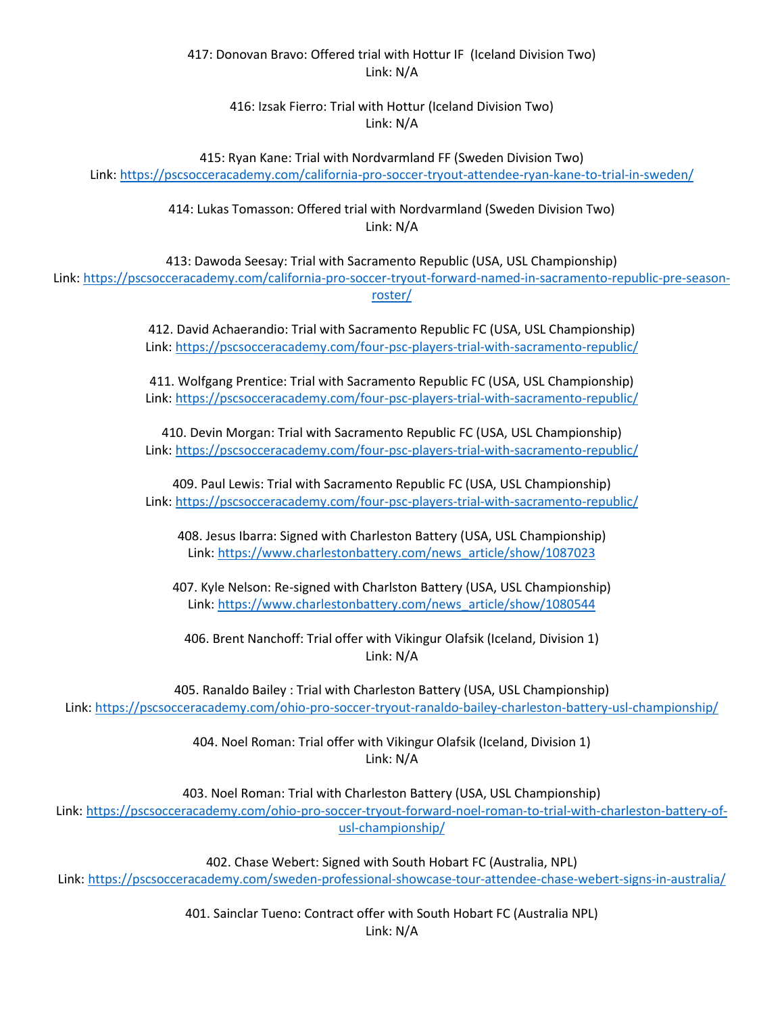#### 417: Donovan Bravo: Offered trial with Hottur IF (Iceland Division Two) Link: N/A

416: Izsak Fierro: Trial with Hottur (Iceland Division Two) Link: N/A

415: Ryan Kane: Trial with Nordvarmland FF (Sweden Division Two) Link[: https://pscsocceracademy.com/california-pro-soccer-tryout-attendee-ryan-kane-to-trial-in-sweden/](https://pscsocceracademy.com/california-pro-soccer-tryout-attendee-ryan-kane-to-trial-in-sweden/)

> 414: Lukas Tomasson: Offered trial with Nordvarmland (Sweden Division Two) Link: N/A

413: Dawoda Seesay: Trial with Sacramento Republic (USA, USL Championship) Link: [https://pscsocceracademy.com/california-pro-soccer-tryout-forward-named-in-sacramento-republic-pre-season](https://pscsocceracademy.com/california-pro-soccer-tryout-forward-named-in-sacramento-republic-pre-season-roster/)[roster/](https://pscsocceracademy.com/california-pro-soccer-tryout-forward-named-in-sacramento-republic-pre-season-roster/)

> 412. David Achaerandio: Trial with Sacramento Republic FC (USA, USL Championship) Link:<https://pscsocceracademy.com/four-psc-players-trial-with-sacramento-republic/>

> 411. Wolfgang Prentice: Trial with Sacramento Republic FC (USA, USL Championship) Link:<https://pscsocceracademy.com/four-psc-players-trial-with-sacramento-republic/>

> 410. Devin Morgan: Trial with Sacramento Republic FC (USA, USL Championship) Link:<https://pscsocceracademy.com/four-psc-players-trial-with-sacramento-republic/>

> 409. Paul Lewis: Trial with Sacramento Republic FC (USA, USL Championship) Link:<https://pscsocceracademy.com/four-psc-players-trial-with-sacramento-republic/>

408. Jesus Ibarra: Signed with Charleston Battery (USA, USL Championship) Link: [https://www.charlestonbattery.com/news\\_article/show/1087023](https://www.charlestonbattery.com/news_article/show/1087023)

407. Kyle Nelson: Re-signed with Charlston Battery (USA, USL Championship) Link: [https://www.charlestonbattery.com/news\\_article/show/1080544](https://www.charlestonbattery.com/news_article/show/1080544)

406. Brent Nanchoff: Trial offer with Vikingur Olafsik (Iceland, Division 1) Link: N/A

405. Ranaldo Bailey : Trial with Charleston Battery (USA, USL Championship) Link:<https://pscsocceracademy.com/ohio-pro-soccer-tryout-ranaldo-bailey-charleston-battery-usl-championship/>

> 404. Noel Roman: Trial offer with Vikingur Olafsik (Iceland, Division 1) Link: N/A

403. Noel Roman: Trial with Charleston Battery (USA, USL Championship) Link: [https://pscsocceracademy.com/ohio-pro-soccer-tryout-forward-noel-roman-to-trial-with-charleston-battery-of](https://pscsocceracademy.com/ohio-pro-soccer-tryout-forward-noel-roman-to-trial-with-charleston-battery-of-usl-championship/)[usl-championship/](https://pscsocceracademy.com/ohio-pro-soccer-tryout-forward-noel-roman-to-trial-with-charleston-battery-of-usl-championship/)

402. Chase Webert: Signed with South Hobart FC (Australia, NPL) Link[: https://pscsocceracademy.com/sweden-professional-showcase-tour-attendee-chase-webert-signs-in-australia/](https://pscsocceracademy.com/sweden-professional-showcase-tour-attendee-chase-webert-signs-in-australia/)

> 401. Sainclar Tueno: Contract offer with South Hobart FC (Australia NPL) Link: N/A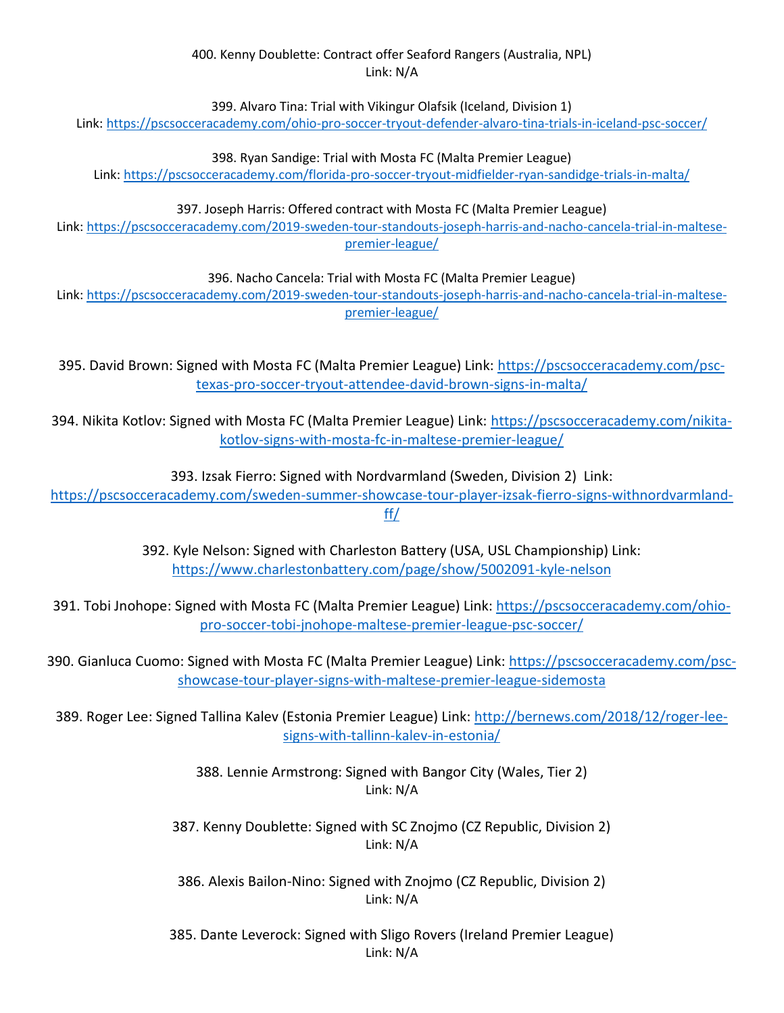#### 400. Kenny Doublette: Contract offer Seaford Rangers (Australia, NPL) Link: N/A

399. Alvaro Tina: Trial with Vikingur Olafsik (Iceland, Division 1)

Link: <https://pscsocceracademy.com/ohio-pro-soccer-tryout-defender-alvaro-tina-trials-in-iceland-psc-soccer/>

398. Ryan Sandige: Trial with Mosta FC (Malta Premier League)

Link[: https://pscsocceracademy.com/florida-pro-soccer-tryout-midfielder-ryan-sandidge-trials-in-malta/](https://pscsocceracademy.com/florida-pro-soccer-tryout-midfielder-ryan-sandidge-trials-in-malta/)

397. Joseph Harris: Offered contract with Mosta FC (Malta Premier League)

Link: [https://pscsocceracademy.com/2019-sweden-tour-standouts-joseph-harris-and-nacho-cancela-trial-in-maltese](https://pscsocceracademy.com/2019-sweden-tour-standouts-joseph-harris-and-nacho-cancela-trial-in-maltese-premier-league/)[premier-league/](https://pscsocceracademy.com/2019-sweden-tour-standouts-joseph-harris-and-nacho-cancela-trial-in-maltese-premier-league/)

396. Nacho Cancela: Trial with Mosta FC (Malta Premier League)

Link: [https://pscsocceracademy.com/2019-sweden-tour-standouts-joseph-harris-and-nacho-cancela-trial-in-maltese](https://pscsocceracademy.com/2019-sweden-tour-standouts-joseph-harris-and-nacho-cancela-trial-in-maltese-premier-league/)[premier-league/](https://pscsocceracademy.com/2019-sweden-tour-standouts-joseph-harris-and-nacho-cancela-trial-in-maltese-premier-league/)

395. David Brown: Signed with Mosta FC (Malta Premier League) Link: [https://pscsocceracademy.com/psc](https://pscsocceracademy.com/psc-texas-pro-soccer-tryout-attendee-david-brown-signs-in-malta/)[texas-pro-soccer-tryout-attendee-david-brown-signs-in-malta/](https://pscsocceracademy.com/psc-texas-pro-soccer-tryout-attendee-david-brown-signs-in-malta/)

394. Nikita Kotlov: Signed with Mosta FC (Malta Premier League) Link: [https://pscsocceracademy.com/nikita](https://pscsocceracademy.com/nikita-kotlov-signs-with-mosta-fc-in-maltese-premier-league/)[kotlov-signs-with-mosta-fc-in-maltese-premier-league/](https://pscsocceracademy.com/nikita-kotlov-signs-with-mosta-fc-in-maltese-premier-league/)

393. Izsak Fierro: Signed with Nordvarmland (Sweden, Division 2) Link:

[https://pscsocceracademy.com/sweden-summer-showcase-tour-player-izsak-fierro-signs-withnordvarmland](https://pscsocceracademy.com/sweden-summer-showcase-tour-player-izsak-fierro-signs-withnordvarmland-ff/)[ff/](https://pscsocceracademy.com/sweden-summer-showcase-tour-player-izsak-fierro-signs-withnordvarmland-ff/)

> 392. Kyle Nelson: Signed with Charleston Battery (USA, USL Championship) Link: <https://www.charlestonbattery.com/page/show/5002091-kyle-nelson>

391. Tobi Jnohope: Signed with Mosta FC (Malta Premier League) Link: [https://pscsocceracademy.com/ohio](https://pscsocceracademy.com/ohio-pro-soccer-tobi-jnohope-maltese-premier-league-psc-soccer/)[pro-soccer-tobi-jnohope-maltese-premier-league-psc-soccer/](https://pscsocceracademy.com/ohio-pro-soccer-tobi-jnohope-maltese-premier-league-psc-soccer/)

390. Gianluca Cuomo: Signed with Mosta FC (Malta Premier League) Link: [https://pscsocceracademy.com/psc](https://pscsocceracademy.com/psc-showcase-tour-player-signs-with-maltese-premier-league-sidemosta)[showcase-tour-player-signs-with-maltese-premier-league-sidemosta](https://pscsocceracademy.com/psc-showcase-tour-player-signs-with-maltese-premier-league-sidemosta)

389. Roger Lee: Signed Tallina Kalev (Estonia Premier League) Link: [http://bernews.com/2018/12/roger-lee](http://bernews.com/2018/12/roger-lee-signs-with-tallinn-kalev-in-estonia/)[signs-with-tallinn-kalev-in-estonia/](http://bernews.com/2018/12/roger-lee-signs-with-tallinn-kalev-in-estonia/)

> 388. Lennie Armstrong: Signed with Bangor City (Wales, Tier 2) Link: N/A

387. Kenny Doublette: Signed with SC Znojmo (CZ Republic, Division 2) Link: N/A

386. Alexis Bailon-Nino: Signed with Znojmo (CZ Republic, Division 2) Link: N/A

385. Dante Leverock: Signed with Sligo Rovers (Ireland Premier League) Link: N/A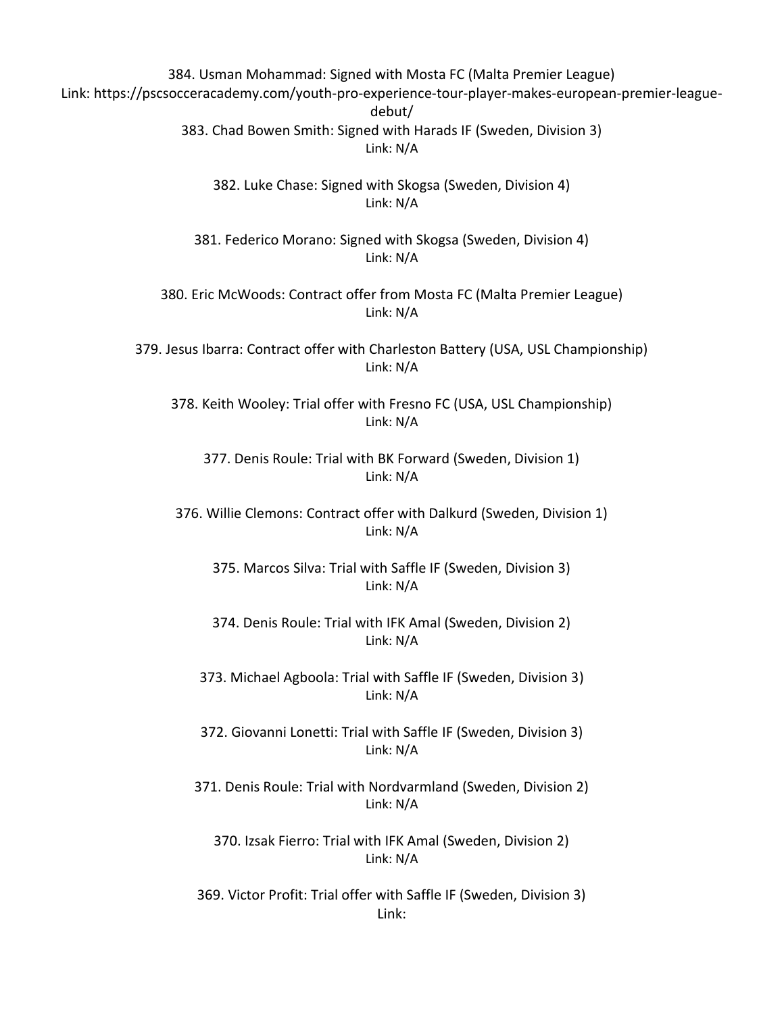384. Usman Mohammad: Signed with Mosta FC (Malta Premier League) Link: https://pscsocceracademy.com/youth-pro-experience-tour-player-makes-european-premier-leaguedebut/ 383. Chad Bowen Smith: Signed with Harads IF (Sweden, Division 3) Link: N/A 382. Luke Chase: Signed with Skogsa (Sweden, Division 4) Link: N/A 381. Federico Morano: Signed with Skogsa (Sweden, Division 4) Link: N/A 380. Eric McWoods: Contract offer from Mosta FC (Malta Premier League) Link: N/A 379. Jesus Ibarra: Contract offer with Charleston Battery (USA, USL Championship) Link: N/A 378. Keith Wooley: Trial offer with Fresno FC (USA, USL Championship) Link: N/A 377. Denis Roule: Trial with BK Forward (Sweden, Division 1) Link: N/A 376. Willie Clemons: Contract offer with Dalkurd (Sweden, Division 1) Link: N/A 375. Marcos Silva: Trial with Saffle IF (Sweden, Division 3) Link: N/A 374. Denis Roule: Trial with IFK Amal (Sweden, Division 2) Link: N/A 373. Michael Agboola: Trial with Saffle IF (Sweden, Division 3) Link: N/A 372. Giovanni Lonetti: Trial with Saffle IF (Sweden, Division 3) Link: N/A 371. Denis Roule: Trial with Nordvarmland (Sweden, Division 2) Link: N/A 370. Izsak Fierro: Trial with IFK Amal (Sweden, Division 2) Link: N/A 369. Victor Profit: Trial offer with Saffle IF (Sweden, Division 3) Link: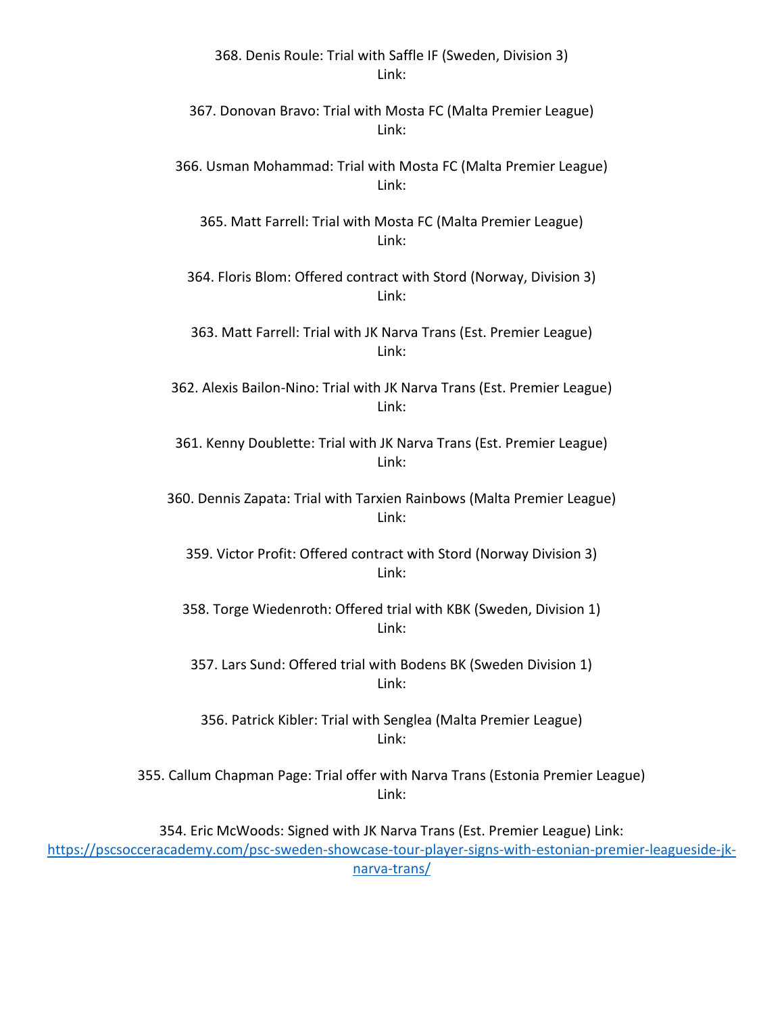368. Denis Roule: Trial with Saffle IF (Sweden, Division 3) Link:

367. Donovan Bravo: Trial with Mosta FC (Malta Premier League) Link:

366. Usman Mohammad: Trial with Mosta FC (Malta Premier League) Link:

365. Matt Farrell: Trial with Mosta FC (Malta Premier League) Link:

364. Floris Blom: Offered contract with Stord (Norway, Division 3) Link:

363. Matt Farrell: Trial with JK Narva Trans (Est. Premier League) Link:

362. Alexis Bailon-Nino: Trial with JK Narva Trans (Est. Premier League) Link:

361. Kenny Doublette: Trial with JK Narva Trans (Est. Premier League) Link:

360. Dennis Zapata: Trial with Tarxien Rainbows (Malta Premier League) Link:

359. Victor Profit: Offered contract with Stord (Norway Division 3) Link:

358. Torge Wiedenroth: Offered trial with KBK (Sweden, Division 1) Link:

357. Lars Sund: Offered trial with Bodens BK (Sweden Division 1) Link:

356. Patrick Kibler: Trial with Senglea (Malta Premier League) Link:

355. Callum Chapman Page: Trial offer with Narva Trans (Estonia Premier League) Link:

354. Eric McWoods: Signed with JK Narva Trans (Est. Premier League) Link: [https://pscsocceracademy.com/psc-sweden-showcase-tour-player-signs-with-estonian-premier-leagueside-jk](https://pscsocceracademy.com/psc-sweden-showcase-tour-player-signs-with-estonian-premier-leagueside-jk-narva-trans/)[narva-trans/](https://pscsocceracademy.com/psc-sweden-showcase-tour-player-signs-with-estonian-premier-leagueside-jk-narva-trans/)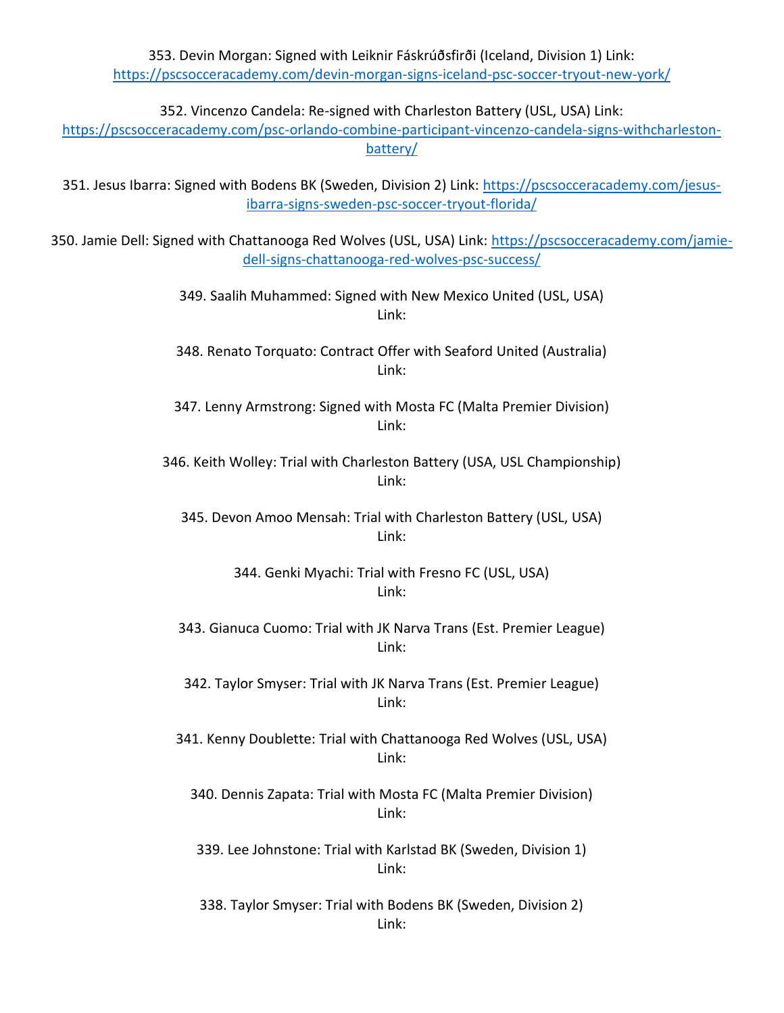353. Devin Morgan: Signed with Leiknir Fáskrúðsfirði (Iceland, Division 1) Link: <https://pscsocceracademy.com/devin-morgan-signs-iceland-psc-soccer-tryout-new-york/>

352. Vincenzo Candela: Re-signed with Charleston Battery (USL, USA) Link:

[https://pscsocceracademy.com/psc-orlando-combine-participant-vincenzo-candela-signs-withcharleston](https://pscsocceracademy.com/psc-orlando-combine-participant-vincenzo-candela-signs-withcharleston-battery/)[battery/](https://pscsocceracademy.com/psc-orlando-combine-participant-vincenzo-candela-signs-withcharleston-battery/)

351. Jesus Ibarra: Signed with Bodens BK (Sweden, Division 2) Link: [https://pscsocceracademy.com/jesus](https://pscsocceracademy.com/jesus-ibarra-signs-sweden-psc-soccer-tryout-florida/)[ibarra-signs-sweden-psc-soccer-tryout-florida/](https://pscsocceracademy.com/jesus-ibarra-signs-sweden-psc-soccer-tryout-florida/)

350. Jamie Dell: Signed with Chattanooga Red Wolves (USL, USA) Link: [https://pscsocceracademy.com/jamie](https://pscsocceracademy.com/jamie-dell-signs-chattanooga-red-wolves-psc-success/)[dell-signs-chattanooga-red-wolves-psc-success/](https://pscsocceracademy.com/jamie-dell-signs-chattanooga-red-wolves-psc-success/)

> 349. Saalih Muhammed: Signed with New Mexico United (USL, USA) Link:

> 348. Renato Torquato: Contract Offer with Seaford United (Australia) Link:

> 347. Lenny Armstrong: Signed with Mosta FC (Malta Premier Division) Link:

346. Keith Wolley: Trial with Charleston Battery (USA, USL Championship) Link:

345. Devon Amoo Mensah: Trial with Charleston Battery (USL, USA) Link:

> 344. Genki Myachi: Trial with Fresno FC (USL, USA) Link:

343. Gianuca Cuomo: Trial with JK Narva Trans (Est. Premier League) Link:

342. Taylor Smyser: Trial with JK Narva Trans (Est. Premier League) Link:

341. Kenny Doublette: Trial with Chattanooga Red Wolves (USL, USA) Link:

340. Dennis Zapata: Trial with Mosta FC (Malta Premier Division) Link:

339. Lee Johnstone: Trial with Karlstad BK (Sweden, Division 1) Link:

338. Taylor Smyser: Trial with Bodens BK (Sweden, Division 2) Link: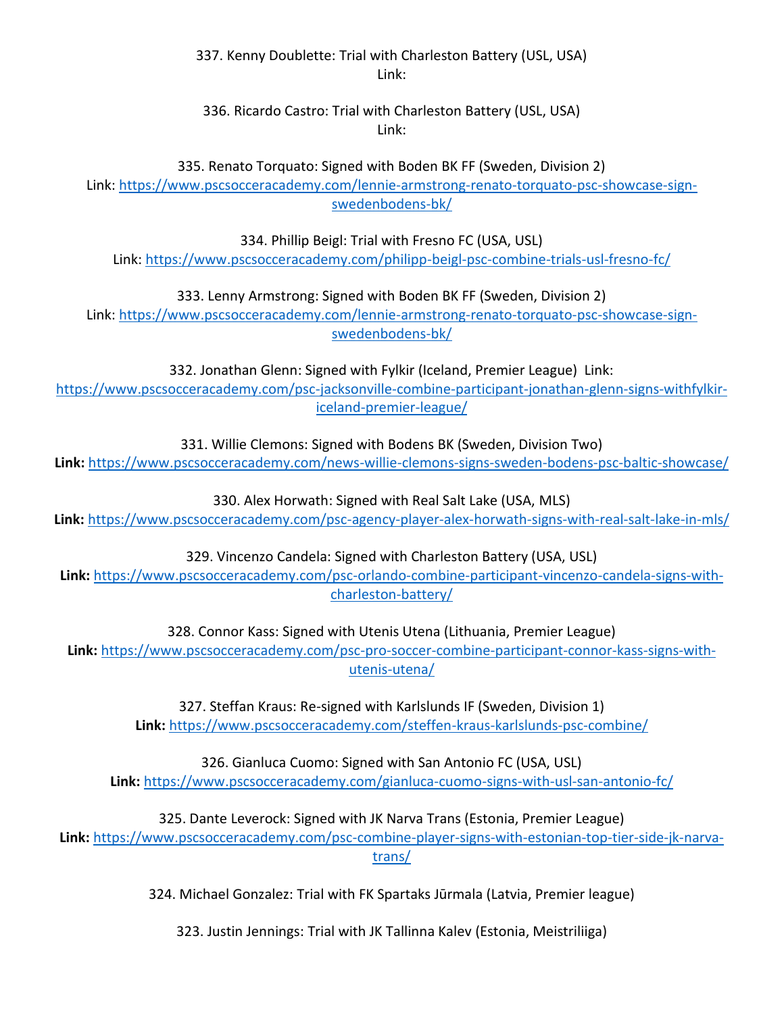#### 337. Kenny Doublette: Trial with Charleston Battery (USL, USA) Link:

#### 336. Ricardo Castro: Trial with Charleston Battery (USL, USA) Link:

335. Renato Torquato: Signed with Boden BK FF (Sweden, Division 2) Link: [https://www.pscsocceracademy.com/lennie-armstrong-renato-torquato-psc-showcase-sign](https://www.pscsocceracademy.com/lennie-armstrong-renato-torquato-psc-showcase-sign-swedenbodens-bk/)[swedenbodens-bk/](https://www.pscsocceracademy.com/lennie-armstrong-renato-torquato-psc-showcase-sign-swedenbodens-bk/)

334. Phillip Beigl: Trial with Fresno FC (USA, USL) Link:<https://www.pscsocceracademy.com/philipp-beigl-psc-combine-trials-usl-fresno-fc/>

333. Lenny Armstrong: Signed with Boden BK FF (Sweden, Division 2) Link: [https://www.pscsocceracademy.com/lennie-armstrong-renato-torquato-psc-showcase-sign](https://www.pscsocceracademy.com/lennie-armstrong-renato-torquato-psc-showcase-sign-swedenbodens-bk/)[swedenbodens-bk/](https://www.pscsocceracademy.com/lennie-armstrong-renato-torquato-psc-showcase-sign-swedenbodens-bk/)

332. Jonathan Glenn: Signed with Fylkir (Iceland, Premier League) Link: [https://www.pscsocceracademy.com/psc-jacksonville-combine-participant-jonathan-glenn-signs-withfylkir](https://www.pscsocceracademy.com/psc-jacksonville-combine-participant-jonathan-glenn-signs-withfylkir-iceland-premier-league/)[iceland-premier-league/](https://www.pscsocceracademy.com/psc-jacksonville-combine-participant-jonathan-glenn-signs-withfylkir-iceland-premier-league/)

331. Willie Clemons: Signed with Bodens BK (Sweden, Division Two) **Link:** <https://www.pscsocceracademy.com/news-willie-clemons-signs-sweden-bodens-psc-baltic-showcase/>

330. Alex Horwath: Signed with Real Salt Lake (USA, MLS) **Link:** <https://www.pscsocceracademy.com/psc-agency-player-alex-horwath-signs-with-real-salt-lake-in-mls/>

329. Vincenzo Candela: Signed with Charleston Battery (USA, USL)

**Link:** [https://www.pscsocceracademy.com/psc-orlando-combine-participant-vincenzo-candela-signs-with](https://www.pscsocceracademy.com/psc-orlando-combine-participant-vincenzo-candela-signs-with-charleston-battery/)[charleston-battery/](https://www.pscsocceracademy.com/psc-orlando-combine-participant-vincenzo-candela-signs-with-charleston-battery/)

328. Connor Kass: Signed with Utenis Utena (Lithuania, Premier League) **Link:** [https://www.pscsocceracademy.com/psc-pro-soccer-combine-participant-connor-kass-signs-with-](https://www.pscsocceracademy.com/psc-pro-soccer-combine-participant-connor-kass-signs-with-utenis-utena/)

[utenis-utena/](https://www.pscsocceracademy.com/psc-pro-soccer-combine-participant-connor-kass-signs-with-utenis-utena/)

327. Steffan Kraus: Re-signed with Karlslunds IF (Sweden, Division 1) **Link:** <https://www.pscsocceracademy.com/steffen-kraus-karlslunds-psc-combine/>

326. Gianluca Cuomo: Signed with San Antonio FC (USA, USL) **Link:** <https://www.pscsocceracademy.com/gianluca-cuomo-signs-with-usl-san-antonio-fc/>

325. Dante Leverock: Signed with JK Narva Trans (Estonia, Premier League) **Link:** [https://www.pscsocceracademy.com/psc-combine-player-signs-with-estonian-top-tier-side-jk-narva](https://www.pscsocceracademy.com/psc-combine-player-signs-with-estonian-top-tier-side-jk-narva-trans/)[trans/](https://www.pscsocceracademy.com/psc-combine-player-signs-with-estonian-top-tier-side-jk-narva-trans/)

324. Michael Gonzalez: Trial with FK Spartaks Jūrmala (Latvia, Premier league)

323. Justin Jennings: Trial with JK Tallinna Kalev (Estonia, Meistriliiga)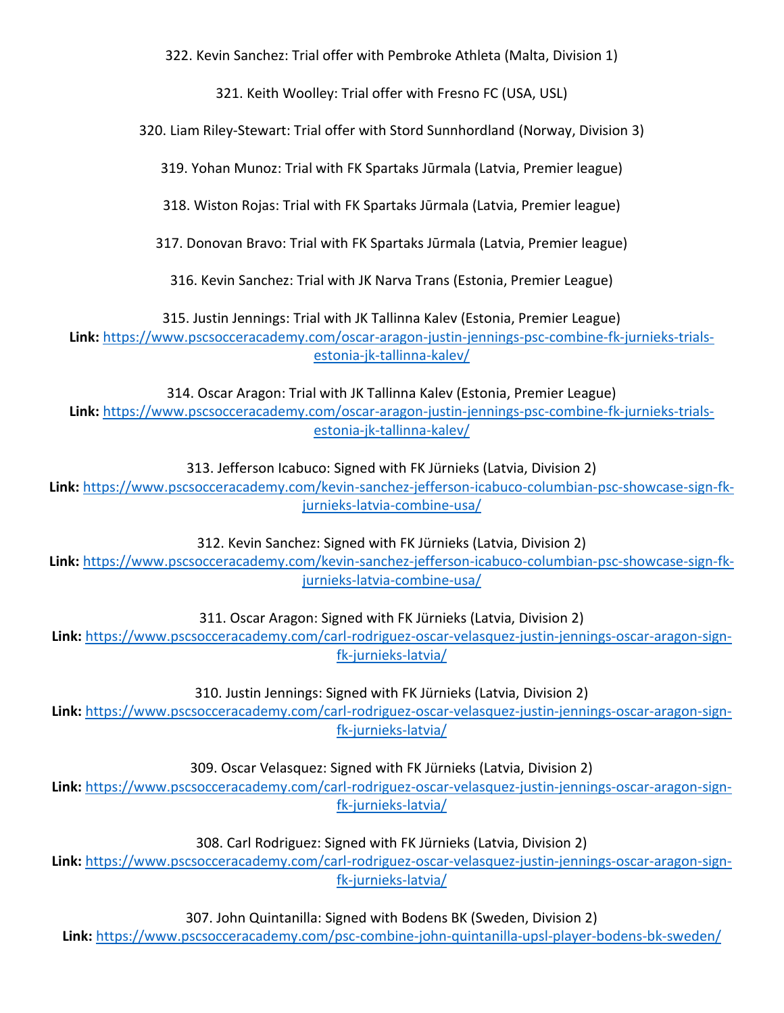322. Kevin Sanchez: Trial offer with Pembroke Athleta (Malta, Division 1)

321. Keith Woolley: Trial offer with Fresno FC (USA, USL)

320. Liam Riley-Stewart: Trial offer with Stord Sunnhordland (Norway, Division 3)

319. Yohan Munoz: Trial with FK Spartaks Jūrmala (Latvia, Premier league)

318. Wiston Rojas: Trial with FK Spartaks Jūrmala (Latvia, Premier league)

317. Donovan Bravo: Trial with FK Spartaks Jūrmala (Latvia, Premier league)

316. Kevin Sanchez: Trial with JK Narva Trans (Estonia, Premier League)

315. Justin Jennings: Trial with JK Tallinna Kalev (Estonia, Premier League)

**Link:** [https://www.pscsocceracademy.com/oscar-aragon-justin-jennings-psc-combine-fk-jurnieks-trials](https://www.pscsocceracademy.com/oscar-aragon-justin-jennings-psc-combine-fk-jurnieks-trials-estonia-jk-tallinna-kalev/)[estonia-jk-tallinna-kalev/](https://www.pscsocceracademy.com/oscar-aragon-justin-jennings-psc-combine-fk-jurnieks-trials-estonia-jk-tallinna-kalev/)

314. Oscar Aragon: Trial with JK Tallinna Kalev (Estonia, Premier League) **Link:** [https://www.pscsocceracademy.com/oscar-aragon-justin-jennings-psc-combine-fk-jurnieks-trials](https://www.pscsocceracademy.com/oscar-aragon-justin-jennings-psc-combine-fk-jurnieks-trials-estonia-jk-tallinna-kalev/)estonia-ik-tallinna-kalev/

313. Jefferson Icabuco: Signed with FK Jürnieks (Latvia, Division 2)

**Link:** [https://www.pscsocceracademy.com/kevin-sanchez-jefferson-icabuco-columbian-psc-showcase-sign-fk](https://www.pscsocceracademy.com/kevin-sanchez-jefferson-icabuco-columbian-psc-showcase-sign-fk-jurnieks-latvia-combine-usa/)[jurnieks-latvia-combine-usa/](https://www.pscsocceracademy.com/kevin-sanchez-jefferson-icabuco-columbian-psc-showcase-sign-fk-jurnieks-latvia-combine-usa/)

312. Kevin Sanchez: Signed with FK Jürnieks (Latvia, Division 2)

**Link:** [https://www.pscsocceracademy.com/kevin-sanchez-jefferson-icabuco-columbian-psc-showcase-sign-fk](https://www.pscsocceracademy.com/kevin-sanchez-jefferson-icabuco-columbian-psc-showcase-sign-fk-jurnieks-latvia-combine-usa/)[jurnieks-latvia-combine-usa/](https://www.pscsocceracademy.com/kevin-sanchez-jefferson-icabuco-columbian-psc-showcase-sign-fk-jurnieks-latvia-combine-usa/)

311. Oscar Aragon: Signed with FK Jürnieks (Latvia, Division 2)

**Link:** [https://www.pscsocceracademy.com/carl-rodriguez-oscar-velasquez-justin-jennings-oscar-aragon-sign](https://www.pscsocceracademy.com/carl-rodriguez-oscar-velasquez-justin-jennings-oscar-aragon-sign-fk-jurnieks-latvia/)[fk-jurnieks-latvia/](https://www.pscsocceracademy.com/carl-rodriguez-oscar-velasquez-justin-jennings-oscar-aragon-sign-fk-jurnieks-latvia/)

310. Justin Jennings: Signed with FK Jürnieks (Latvia, Division 2)

**Link:** [https://www.pscsocceracademy.com/carl-rodriguez-oscar-velasquez-justin-jennings-oscar-aragon-sign](https://www.pscsocceracademy.com/carl-rodriguez-oscar-velasquez-justin-jennings-oscar-aragon-sign-fk-jurnieks-latvia/)[fk-jurnieks-latvia/](https://www.pscsocceracademy.com/carl-rodriguez-oscar-velasquez-justin-jennings-oscar-aragon-sign-fk-jurnieks-latvia/)

309. Oscar Velasquez: Signed with FK Jürnieks (Latvia, Division 2)

**Link:** [https://www.pscsocceracademy.com/carl-rodriguez-oscar-velasquez-justin-jennings-oscar-aragon-sign](https://www.pscsocceracademy.com/carl-rodriguez-oscar-velasquez-justin-jennings-oscar-aragon-sign-fk-jurnieks-latvia/)[fk-jurnieks-latvia/](https://www.pscsocceracademy.com/carl-rodriguez-oscar-velasquez-justin-jennings-oscar-aragon-sign-fk-jurnieks-latvia/)

308. Carl Rodriguez: Signed with FK Jürnieks (Latvia, Division 2)

**Link:** [https://www.pscsocceracademy.com/carl-rodriguez-oscar-velasquez-justin-jennings-oscar-aragon-sign](https://www.pscsocceracademy.com/carl-rodriguez-oscar-velasquez-justin-jennings-oscar-aragon-sign-fk-jurnieks-latvia/)[fk-jurnieks-latvia/](https://www.pscsocceracademy.com/carl-rodriguez-oscar-velasquez-justin-jennings-oscar-aragon-sign-fk-jurnieks-latvia/)

307. John Quintanilla: Signed with Bodens BK (Sweden, Division 2)

**Link:** <https://www.pscsocceracademy.com/psc-combine-john-quintanilla-upsl-player-bodens-bk-sweden/>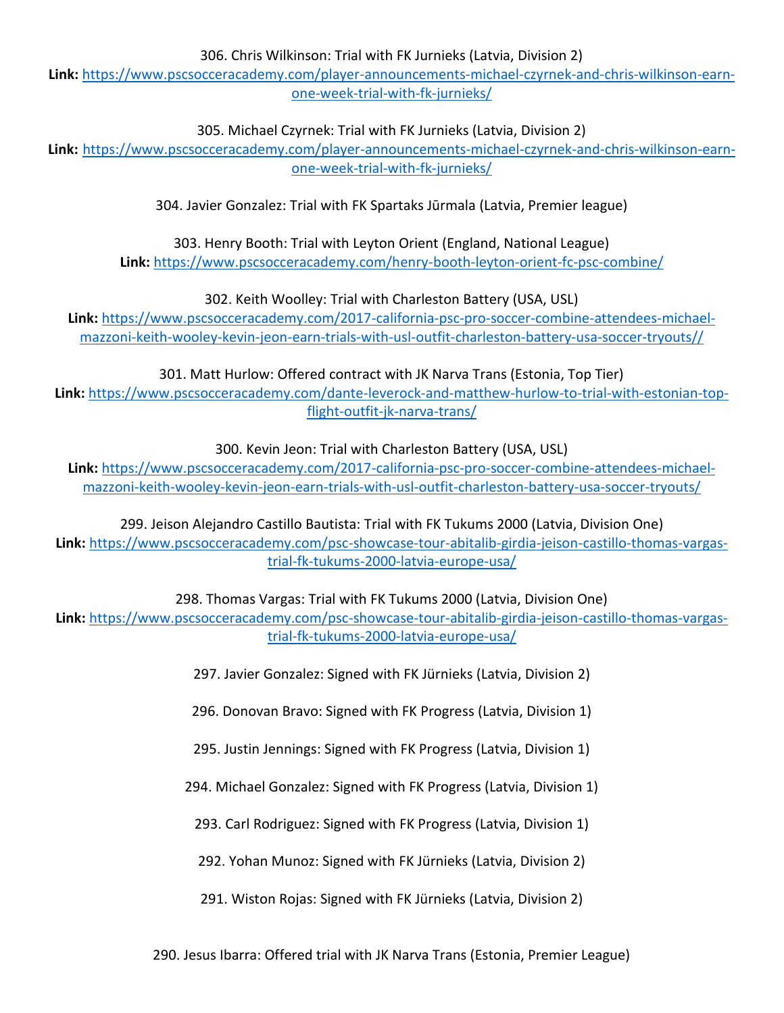306. Chris Wilkinson: Trial with FK Jurnieks (Latvia, Division 2)

**Link:** [https://www.pscsocceracademy.com/player-announcements-michael-czyrnek-and-chris-wilkinson-earn](https://www.pscsocceracademy.com/player-announcements-michael-czyrnek-and-chris-wilkinson-earn-one-week-trial-with-fk-jurnieks/)[one-week-trial-with-fk-jurnieks/](https://www.pscsocceracademy.com/player-announcements-michael-czyrnek-and-chris-wilkinson-earn-one-week-trial-with-fk-jurnieks/)

305. Michael Czyrnek: Trial with FK Jurnieks (Latvia, Division 2)

**Link:** [https://www.pscsocceracademy.com/player-announcements-michael-czyrnek-and-chris-wilkinson-earn](https://www.pscsocceracademy.com/player-announcements-michael-czyrnek-and-chris-wilkinson-earn-one-week-trial-with-fk-jurnieks/)[one-week-trial-with-fk-jurnieks/](https://www.pscsocceracademy.com/player-announcements-michael-czyrnek-and-chris-wilkinson-earn-one-week-trial-with-fk-jurnieks/)

304. Javier Gonzalez: Trial with FK Spartaks Jūrmala (Latvia, Premier league)

303. Henry Booth: Trial with Leyton Orient (England, National League) **Link:** <https://www.pscsocceracademy.com/henry-booth-leyton-orient-fc-psc-combine/>

302. Keith Woolley: Trial with Charleston Battery (USA, USL)

**Link:** [https://www.pscsocceracademy.com/2017-california-psc-pro-soccer-combine-attendees-michael](https://www.pscsocceracademy.com/2017-california-psc-pro-soccer-combine-attendees-michael-mazzoni-keith-wooley-kevin-jeon-earn-trials-with-usl-outfit-charleston-battery-usa-soccer-tryouts/)[mazzoni-keith-wooley-kevin-jeon-earn-trials-with-usl-outfit-charleston-battery-usa-soccer-tryouts//](https://www.pscsocceracademy.com/2017-california-psc-pro-soccer-combine-attendees-michael-mazzoni-keith-wooley-kevin-jeon-earn-trials-with-usl-outfit-charleston-battery-usa-soccer-tryouts/)

301. Matt Hurlow: Offered contract with JK Narva Trans (Estonia, Top Tier) **Link:** [https://www.pscsocceracademy.com/dante-leverock-and-matthew-hurlow-to-trial-with-estonian-top](https://www.pscsocceracademy.com/dante-leverock-and-matthew-hurlow-to-trial-with-estonian-top-flight-outfit-jk-narva-trans/)[flight-outfit-jk-narva-trans/](https://www.pscsocceracademy.com/dante-leverock-and-matthew-hurlow-to-trial-with-estonian-top-flight-outfit-jk-narva-trans/)

300. Kevin Jeon: Trial with Charleston Battery (USA, USL)

**Link:** [https://www.pscsocceracademy.com/2017-california-psc-pro-soccer-combine-attendees-michael](https://www.pscsocceracademy.com/2017-california-psc-pro-soccer-combine-attendees-michael-mazzoni-keith-wooley-kevin-jeon-earn-trials-with-usl-outfit-charleston-battery-usa-soccer-tryouts/)[mazzoni-keith-wooley-kevin-jeon-earn-trials-with-usl-outfit-charleston-battery-usa-soccer-tryouts/](https://www.pscsocceracademy.com/2017-california-psc-pro-soccer-combine-attendees-michael-mazzoni-keith-wooley-kevin-jeon-earn-trials-with-usl-outfit-charleston-battery-usa-soccer-tryouts/)

299. Jeison Alejandro Castillo Bautista: Trial with FK Tukums 2000 (Latvia, Division One) **Link:** [https://www.pscsocceracademy.com/psc-showcase-tour-abitalib-girdia-jeison-castillo-thomas-vargas](https://www.pscsocceracademy.com/psc-showcase-tour-abitalib-girdia-jeison-castillo-thomas-vargas-trial-fk-tukums-2000-latvia-europe-usa/)[trial-fk-tukums-2000-latvia-europe-usa/](https://www.pscsocceracademy.com/psc-showcase-tour-abitalib-girdia-jeison-castillo-thomas-vargas-trial-fk-tukums-2000-latvia-europe-usa/)

298. Thomas Vargas: Trial with FK Tukums 2000 (Latvia, Division One)

**Link:** [https://www.pscsocceracademy.com/psc-showcase-tour-abitalib-girdia-jeison-castillo-thomas-vargas](https://www.pscsocceracademy.com/psc-showcase-tour-abitalib-girdia-jeison-castillo-thomas-vargas-trial-fk-tukums-2000-latvia-europe-usa/)[trial-fk-tukums-2000-latvia-europe-usa/](https://www.pscsocceracademy.com/psc-showcase-tour-abitalib-girdia-jeison-castillo-thomas-vargas-trial-fk-tukums-2000-latvia-europe-usa/)

297. Javier Gonzalez: Signed with FK Jürnieks (Latvia, Division 2)

296. Donovan Bravo: Signed with FK Progress (Latvia, Division 1)

295. Justin Jennings: Signed with FK Progress (Latvia, Division 1)

294. Michael Gonzalez: Signed with FK Progress (Latvia, Division 1)

293. Carl Rodriguez: Signed with FK Progress (Latvia, Division 1)

292. Yohan Munoz: Signed with FK Jürnieks (Latvia, Division 2)

291. Wiston Rojas: Signed with FK Jürnieks (Latvia, Division 2)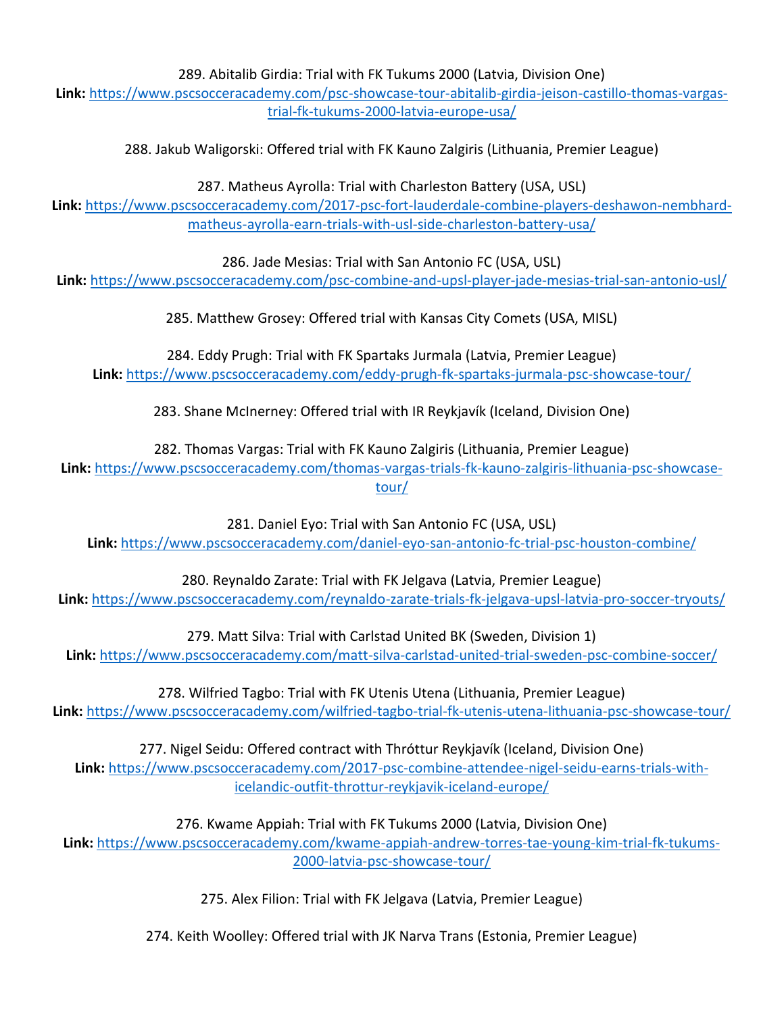289. Abitalib Girdia: Trial with FK Tukums 2000 (Latvia, Division One)

**Link:** [https://www.pscsocceracademy.com/psc-showcase-tour-abitalib-girdia-jeison-castillo-thomas-vargas](https://www.pscsocceracademy.com/psc-showcase-tour-abitalib-girdia-jeison-castillo-thomas-vargas-trial-fk-tukums-2000-latvia-europe-usa/)[trial-fk-tukums-2000-latvia-europe-usa/](https://www.pscsocceracademy.com/psc-showcase-tour-abitalib-girdia-jeison-castillo-thomas-vargas-trial-fk-tukums-2000-latvia-europe-usa/)

288. Jakub Waligorski: Offered trial with FK Kauno Zalgiris (Lithuania, Premier League)

287. Matheus Ayrolla: Trial with Charleston Battery (USA, USL)

**Link:** [https://www.pscsocceracademy.com/2017-psc-fort-lauderdale-combine-players-deshawon-nembhard](https://www.pscsocceracademy.com/2017-psc-fort-lauderdale-combine-players-deshawon-nembhard-matheus-ayrolla-earn-trials-with-usl-side-charleston-battery-usa/)[matheus-ayrolla-earn-trials-with-usl-side-charleston-battery-usa/](https://www.pscsocceracademy.com/2017-psc-fort-lauderdale-combine-players-deshawon-nembhard-matheus-ayrolla-earn-trials-with-usl-side-charleston-battery-usa/)

286. Jade Mesias: Trial with San Antonio FC (USA, USL)

**Link:** <https://www.pscsocceracademy.com/psc-combine-and-upsl-player-jade-mesias-trial-san-antonio-usl/>

285. Matthew Grosey: Offered trial with Kansas City Comets (USA, MISL)

284. Eddy Prugh: Trial with FK Spartaks Jurmala (Latvia, Premier League) **Link:** <https://www.pscsocceracademy.com/eddy-prugh-fk-spartaks-jurmala-psc-showcase-tour/>

283. Shane McInerney: Offered trial with IR Reykjavík (Iceland, Division One)

282. Thomas Vargas: Trial with FK Kauno Zalgiris (Lithuania, Premier League)

**Link:** [https://www.pscsocceracademy.com/thomas-vargas-trials-fk-kauno-zalgiris-lithuania-psc-showcase](https://www.pscsocceracademy.com/thomas-vargas-trials-fk-kauno-zalgiris-lithuania-psc-showcase-tour/)[tour/](https://www.pscsocceracademy.com/thomas-vargas-trials-fk-kauno-zalgiris-lithuania-psc-showcase-tour/)

281. Daniel Eyo: Trial with San Antonio FC (USA, USL) **Link:** <https://www.pscsocceracademy.com/daniel-eyo-san-antonio-fc-trial-psc-houston-combine/>

280. Reynaldo Zarate: Trial with FK Jelgava (Latvia, Premier League) **Link:** <https://www.pscsocceracademy.com/reynaldo-zarate-trials-fk-jelgava-upsl-latvia-pro-soccer-tryouts/>

279. Matt Silva: Trial with Carlstad United BK (Sweden, Division 1) **Link:** <https://www.pscsocceracademy.com/matt-silva-carlstad-united-trial-sweden-psc-combine-soccer/>

278. Wilfried Tagbo: Trial with FK Utenis Utena (Lithuania, Premier League) **Link:** <https://www.pscsocceracademy.com/wilfried-tagbo-trial-fk-utenis-utena-lithuania-psc-showcase-tour/>

277. Nigel Seidu: Offered contract with Thróttur Reykjavík (Iceland, Division One) **Link:** [https://www.pscsocceracademy.com/2017-psc-combine-attendee-nigel-seidu-earns-trials-with](https://www.pscsocceracademy.com/2017-psc-combine-attendee-nigel-seidu-earns-trials-with-icelandic-outfit-throttur-reykjavik-iceland-europe/)[icelandic-outfit-throttur-reykjavik-iceland-europe/](https://www.pscsocceracademy.com/2017-psc-combine-attendee-nigel-seidu-earns-trials-with-icelandic-outfit-throttur-reykjavik-iceland-europe/)

276. Kwame Appiah: Trial with FK Tukums 2000 (Latvia, Division One) **Link:** [https://www.pscsocceracademy.com/kwame-appiah-andrew-torres-tae-young-kim-trial-fk-tukums-](https://www.pscsocceracademy.com/kwame-appiah-andrew-torres-tae-young-kim-trial-fk-tukums-2000-latvia-psc-showcase-tour/)[2000-latvia-psc-showcase-tour/](https://www.pscsocceracademy.com/kwame-appiah-andrew-torres-tae-young-kim-trial-fk-tukums-2000-latvia-psc-showcase-tour/)

275. Alex Filion: Trial with FK Jelgava (Latvia, Premier League)

274. Keith Woolley: Offered trial with JK Narva Trans (Estonia, Premier League)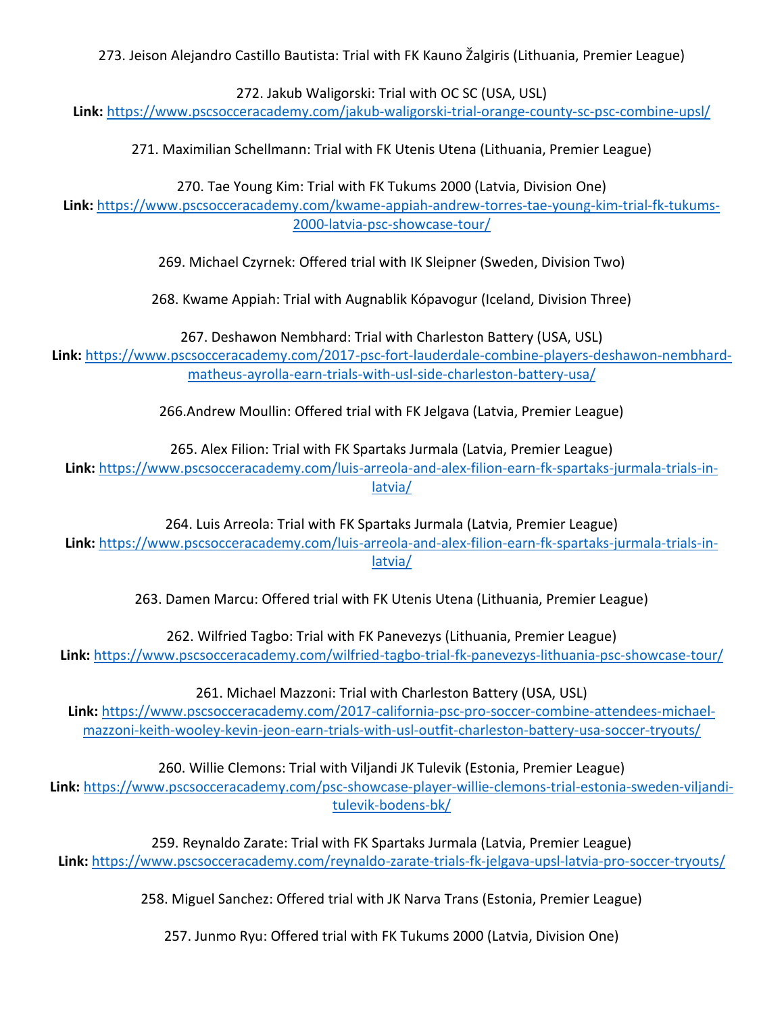273. Jeison Alejandro Castillo Bautista: Trial with FK Kauno Žalgiris (Lithuania, Premier League)

272. Jakub Waligorski: Trial with OC SC (USA, USL)

**Link:** <https://www.pscsocceracademy.com/jakub-waligorski-trial-orange-county-sc-psc-combine-upsl/>

271. Maximilian Schellmann: Trial with FK Utenis Utena (Lithuania, Premier League)

270. Tae Young Kim: Trial with FK Tukums 2000 (Latvia, Division One)

**Link:** [https://www.pscsocceracademy.com/kwame-appiah-andrew-torres-tae-young-kim-trial-fk-tukums-](https://www.pscsocceracademy.com/kwame-appiah-andrew-torres-tae-young-kim-trial-fk-tukums-2000-latvia-psc-showcase-tour/)[2000-latvia-psc-showcase-tour/](https://www.pscsocceracademy.com/kwame-appiah-andrew-torres-tae-young-kim-trial-fk-tukums-2000-latvia-psc-showcase-tour/)

269. Michael Czyrnek: Offered trial with IK Sleipner (Sweden, Division Two)

268. Kwame Appiah: Trial with Augnablik Kópavogur (Iceland, Division Three)

267. Deshawon Nembhard: Trial with Charleston Battery (USA, USL)

**Link:** [https://www.pscsocceracademy.com/2017-psc-fort-lauderdale-combine-players-deshawon-nembhard](https://www.pscsocceracademy.com/2017-psc-fort-lauderdale-combine-players-deshawon-nembhard-matheus-ayrolla-earn-trials-with-usl-side-charleston-battery-usa/)[matheus-ayrolla-earn-trials-with-usl-side-charleston-battery-usa/](https://www.pscsocceracademy.com/2017-psc-fort-lauderdale-combine-players-deshawon-nembhard-matheus-ayrolla-earn-trials-with-usl-side-charleston-battery-usa/)

266.Andrew Moullin: Offered trial with FK Jelgava (Latvia, Premier League)

265. Alex Filion: Trial with FK Spartaks Jurmala (Latvia, Premier League)

**Link:** [https://www.pscsocceracademy.com/luis-arreola-and-alex-filion-earn-fk-spartaks-jurmala-trials-in](https://www.pscsocceracademy.com/luis-arreola-and-alex-filion-earn-fk-spartaks-jurmala-trials-in-latvia/)[latvia/](https://www.pscsocceracademy.com/luis-arreola-and-alex-filion-earn-fk-spartaks-jurmala-trials-in-latvia/)

264. Luis Arreola: Trial with FK Spartaks Jurmala (Latvia, Premier League) **Link:** [https://www.pscsocceracademy.com/luis-arreola-and-alex-filion-earn-fk-spartaks-jurmala-trials-in](https://www.pscsocceracademy.com/luis-arreola-and-alex-filion-earn-fk-spartaks-jurmala-trials-in-latvia/)[latvia/](https://www.pscsocceracademy.com/luis-arreola-and-alex-filion-earn-fk-spartaks-jurmala-trials-in-latvia/)

263. Damen Marcu: Offered trial with FK Utenis Utena (Lithuania, Premier League)

262. Wilfried Tagbo: Trial with FK Panevezys (Lithuania, Premier League) **Link:** <https://www.pscsocceracademy.com/wilfried-tagbo-trial-fk-panevezys-lithuania-psc-showcase-tour/>

261. Michael Mazzoni: Trial with Charleston Battery (USA, USL)

**Link:** [https://www.pscsocceracademy.com/2017-california-psc-pro-soccer-combine-attendees-michael](https://www.pscsocceracademy.com/2017-california-psc-pro-soccer-combine-attendees-michael-mazzoni-keith-wooley-kevin-jeon-earn-trials-with-usl-outfit-charleston-battery-usa-soccer-tryouts/)[mazzoni-keith-wooley-kevin-jeon-earn-trials-with-usl-outfit-charleston-battery-usa-soccer-tryouts/](https://www.pscsocceracademy.com/2017-california-psc-pro-soccer-combine-attendees-michael-mazzoni-keith-wooley-kevin-jeon-earn-trials-with-usl-outfit-charleston-battery-usa-soccer-tryouts/)

260. Willie Clemons: Trial with Viljandi JK Tulevik (Estonia, Premier League)

**Link:** [https://www.pscsocceracademy.com/psc-showcase-player-willie-clemons-trial-estonia-sweden-viljandi](https://www.pscsocceracademy.com/psc-showcase-player-willie-clemons-trial-estonia-sweden-viljandi-tulevik-bodens-bk/)[tulevik-bodens-bk/](https://www.pscsocceracademy.com/psc-showcase-player-willie-clemons-trial-estonia-sweden-viljandi-tulevik-bodens-bk/)

259. Reynaldo Zarate: Trial with FK Spartaks Jurmala (Latvia, Premier League) **Link:** <https://www.pscsocceracademy.com/reynaldo-zarate-trials-fk-jelgava-upsl-latvia-pro-soccer-tryouts/>

258. Miguel Sanchez: Offered trial with JK Narva Trans (Estonia, Premier League)

257. Junmo Ryu: Offered trial with FK Tukums 2000 (Latvia, Division One)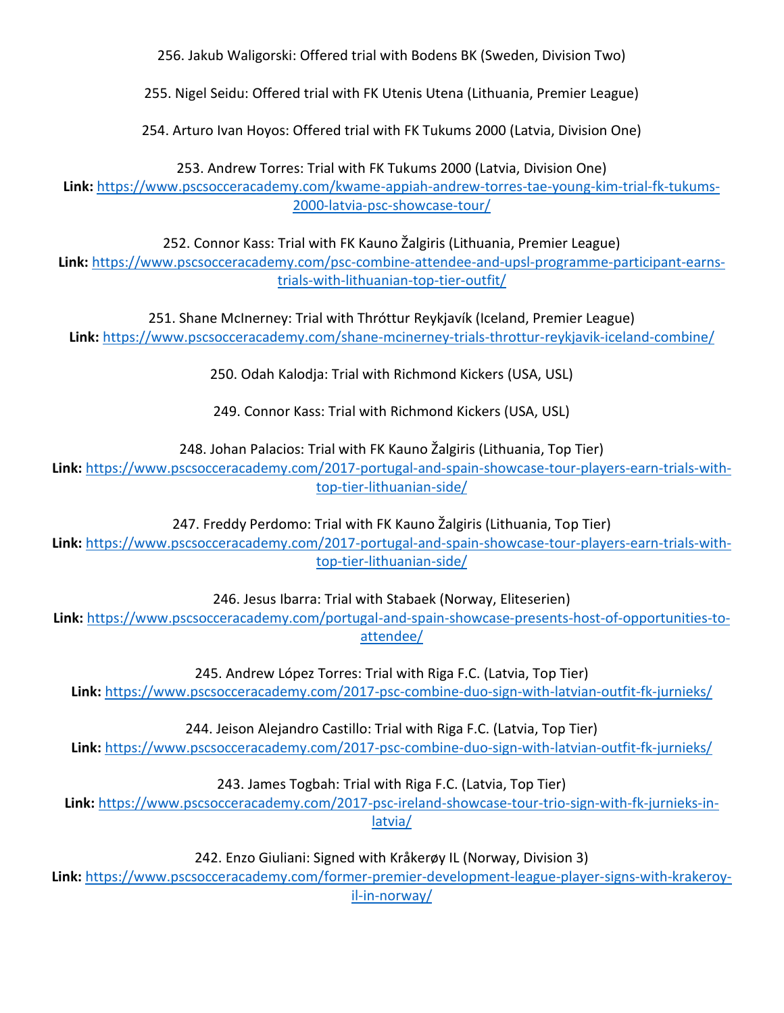256. Jakub Waligorski: Offered trial with Bodens BK (Sweden, Division Two)

255. Nigel Seidu: Offered trial with FK Utenis Utena (Lithuania, Premier League)

254. Arturo Ivan Hoyos: Offered trial with FK Tukums 2000 (Latvia, Division One)

253. Andrew Torres: Trial with FK Tukums 2000 (Latvia, Division One)

**Link:** [https://www.pscsocceracademy.com/kwame-appiah-andrew-torres-tae-young-kim-trial-fk-tukums-](https://www.pscsocceracademy.com/kwame-appiah-andrew-torres-tae-young-kim-trial-fk-tukums-2000-latvia-psc-showcase-tour/)[2000-latvia-psc-showcase-tour/](https://www.pscsocceracademy.com/kwame-appiah-andrew-torres-tae-young-kim-trial-fk-tukums-2000-latvia-psc-showcase-tour/)

252. Connor Kass: Trial with FK Kauno Žalgiris (Lithuania, Premier League) **Link:** [https://www.pscsocceracademy.com/psc-combine-attendee-and-upsl-programme-participant-earns](https://www.pscsocceracademy.com/psc-combine-attendee-and-upsl-programme-participant-earns-trials-with-lithuanian-top-tier-outfit/)[trials-with-lithuanian-top-tier-outfit/](https://www.pscsocceracademy.com/psc-combine-attendee-and-upsl-programme-participant-earns-trials-with-lithuanian-top-tier-outfit/)

251. Shane McInerney: Trial with Thróttur Reykjavík (Iceland, Premier League) **Link:** <https://www.pscsocceracademy.com/shane-mcinerney-trials-throttur-reykjavik-iceland-combine/>

250. Odah Kalodja: Trial with Richmond Kickers (USA, USL)

249. Connor Kass: Trial with Richmond Kickers (USA, USL)

248. Johan Palacios: Trial with FK Kauno Žalgiris (Lithuania, Top Tier)

**Link:** [https://www.pscsocceracademy.com/2017-portugal-and-spain-showcase-tour-players-earn-trials-with](https://www.pscsocceracademy.com/2017-portugal-and-spain-showcase-tour-players-earn-trials-with-top-tier-lithuanian-side/)[top-tier-lithuanian-side/](https://www.pscsocceracademy.com/2017-portugal-and-spain-showcase-tour-players-earn-trials-with-top-tier-lithuanian-side/)

247. Freddy Perdomo: Trial with FK Kauno Žalgiris (Lithuania, Top Tier) **Link:** [https://www.pscsocceracademy.com/2017-portugal-and-spain-showcase-tour-players-earn-trials-with](https://www.pscsocceracademy.com/2017-portugal-and-spain-showcase-tour-players-earn-trials-with-top-tier-lithuanian-side/)[top-tier-lithuanian-side/](https://www.pscsocceracademy.com/2017-portugal-and-spain-showcase-tour-players-earn-trials-with-top-tier-lithuanian-side/)

246. Jesus Ibarra: Trial with Stabaek (Norway, Eliteserien)

**Link:** [https://www.pscsocceracademy.com/portugal-and-spain-showcase-presents-host-of-opportunities-to](https://www.pscsocceracademy.com/portugal-and-spain-showcase-presents-host-of-opportunities-to-attendee/)[attendee/](https://www.pscsocceracademy.com/portugal-and-spain-showcase-presents-host-of-opportunities-to-attendee/)

245. Andrew López Torres: Trial with Riga F.C. (Latvia, Top Tier) **Link:** <https://www.pscsocceracademy.com/2017-psc-combine-duo-sign-with-latvian-outfit-fk-jurnieks/>

244. Jeison Alejandro Castillo: Trial with Riga F.C. (Latvia, Top Tier) **Link:** <https://www.pscsocceracademy.com/2017-psc-combine-duo-sign-with-latvian-outfit-fk-jurnieks/>

243. James Togbah: Trial with Riga F.C. (Latvia, Top Tier)

**Link:** [https://www.pscsocceracademy.com/2017-psc-ireland-showcase-tour-trio-sign-with-fk-jurnieks-in](https://www.pscsocceracademy.com/2017-psc-ireland-showcase-tour-trio-sign-with-fk-jurnieks-in-latvia/)[latvia/](https://www.pscsocceracademy.com/2017-psc-ireland-showcase-tour-trio-sign-with-fk-jurnieks-in-latvia/)

242. Enzo Giuliani: Signed with Kråkerøy IL (Norway, Division 3)

**Link:** [https://www.pscsocceracademy.com/former-premier-development-league-player-signs-with-krakeroy-](https://www.pscsocceracademy.com/former-premier-development-league-player-signs-with-krakeroy-il-in-norway/)

[il-in-norway/](https://www.pscsocceracademy.com/former-premier-development-league-player-signs-with-krakeroy-il-in-norway/)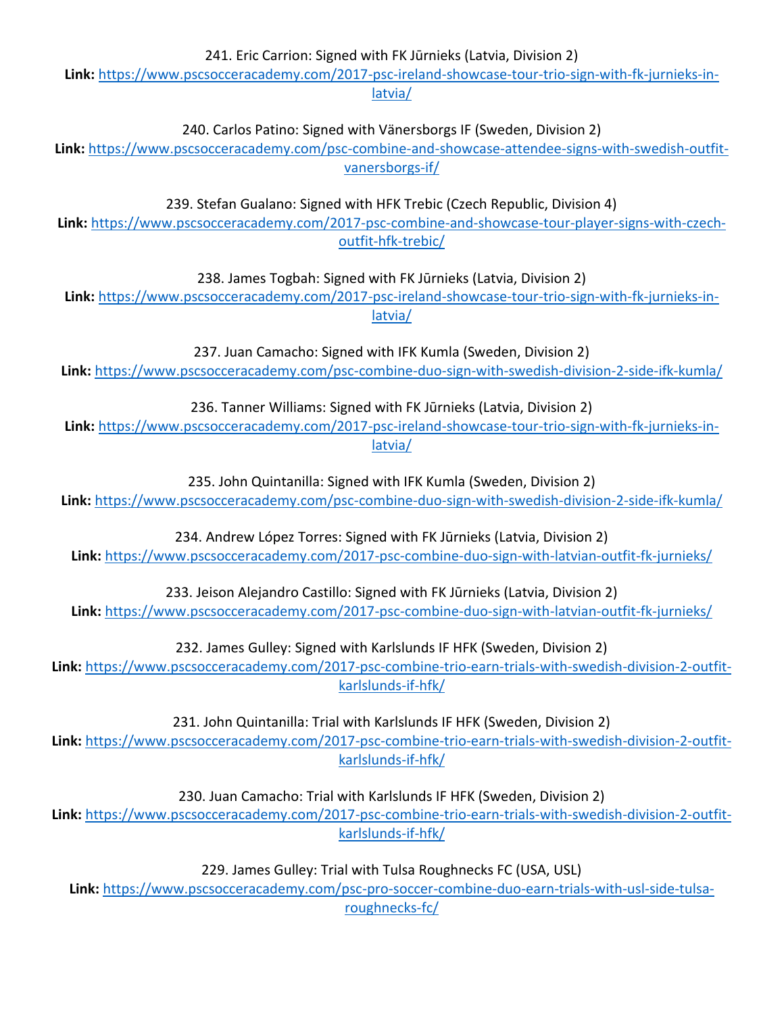241. Eric Carrion: Signed with FK Jūrnieks (Latvia, Division 2)

**Link:** [https://www.pscsocceracademy.com/2017-psc-ireland-showcase-tour-trio-sign-with-fk-jurnieks-in](https://www.pscsocceracademy.com/2017-psc-ireland-showcase-tour-trio-sign-with-fk-jurnieks-in-latvia/)[latvia/](https://www.pscsocceracademy.com/2017-psc-ireland-showcase-tour-trio-sign-with-fk-jurnieks-in-latvia/)

240. Carlos Patino: Signed with Vänersborgs IF (Sweden, Division 2)

**Link:** [https://www.pscsocceracademy.com/psc-combine-and-showcase-attendee-signs-with-swedish-outfit](https://www.pscsocceracademy.com/psc-combine-and-showcase-attendee-signs-with-swedish-outfit-vanersborgs-if/)[vanersborgs-if/](https://www.pscsocceracademy.com/psc-combine-and-showcase-attendee-signs-with-swedish-outfit-vanersborgs-if/)

239. Stefan Gualano: Signed with HFK Trebic (Czech Republic, Division 4)

**Link:** [https://www.pscsocceracademy.com/2017-psc-combine-and-showcase-tour-player-signs-with-czech](https://www.pscsocceracademy.com/2017-psc-combine-and-showcase-tour-player-signs-with-czech-outfit-hfk-trebic/)[outfit-hfk-trebic/](https://www.pscsocceracademy.com/2017-psc-combine-and-showcase-tour-player-signs-with-czech-outfit-hfk-trebic/)

238. James Togbah: Signed with FK Jūrnieks (Latvia, Division 2)

**Link:** [https://www.pscsocceracademy.com/2017-psc-ireland-showcase-tour-trio-sign-with-fk-jurnieks-in](https://www.pscsocceracademy.com/2017-psc-ireland-showcase-tour-trio-sign-with-fk-jurnieks-in-latvia/)[latvia/](https://www.pscsocceracademy.com/2017-psc-ireland-showcase-tour-trio-sign-with-fk-jurnieks-in-latvia/)

237. Juan Camacho: Signed with IFK Kumla (Sweden, Division 2) **Link:** <https://www.pscsocceracademy.com/psc-combine-duo-sign-with-swedish-division-2-side-ifk-kumla/>

236. Tanner Williams: Signed with FK Jūrnieks (Latvia, Division 2)

**Link:** [https://www.pscsocceracademy.com/2017-psc-ireland-showcase-tour-trio-sign-with-fk-jurnieks-in](https://www.pscsocceracademy.com/2017-psc-ireland-showcase-tour-trio-sign-with-fk-jurnieks-in-latvia/)[latvia/](https://www.pscsocceracademy.com/2017-psc-ireland-showcase-tour-trio-sign-with-fk-jurnieks-in-latvia/)

235. John Quintanilla: Signed with IFK Kumla (Sweden, Division 2)

**Link:** <https://www.pscsocceracademy.com/psc-combine-duo-sign-with-swedish-division-2-side-ifk-kumla/>

234. Andrew López Torres: Signed with FK Jūrnieks (Latvia, Division 2) **Link:** <https://www.pscsocceracademy.com/2017-psc-combine-duo-sign-with-latvian-outfit-fk-jurnieks/>

233. Jeison Alejandro Castillo: Signed with FK Jūrnieks (Latvia, Division 2) **Link:** <https://www.pscsocceracademy.com/2017-psc-combine-duo-sign-with-latvian-outfit-fk-jurnieks/>

232. James Gulley: Signed with Karlslunds IF HFK (Sweden, Division 2)

**Link:** [https://www.pscsocceracademy.com/2017-psc-combine-trio-earn-trials-with-swedish-division-2-outfit](https://www.pscsocceracademy.com/2017-psc-combine-trio-earn-trials-with-swedish-division-2-outfit-karlslunds-if-hfk/)[karlslunds-if-hfk/](https://www.pscsocceracademy.com/2017-psc-combine-trio-earn-trials-with-swedish-division-2-outfit-karlslunds-if-hfk/)

231. John Quintanilla: Trial with Karlslunds IF HFK (Sweden, Division 2)

**Link:** [https://www.pscsocceracademy.com/2017-psc-combine-trio-earn-trials-with-swedish-division-2-outfit](https://www.pscsocceracademy.com/2017-psc-combine-trio-earn-trials-with-swedish-division-2-outfit-karlslunds-if-hfk/)[karlslunds-if-hfk/](https://www.pscsocceracademy.com/2017-psc-combine-trio-earn-trials-with-swedish-division-2-outfit-karlslunds-if-hfk/)

230. Juan Camacho: Trial with Karlslunds IF HFK (Sweden, Division 2)

**Link:** [https://www.pscsocceracademy.com/2017-psc-combine-trio-earn-trials-with-swedish-division-2-outfit](https://www.pscsocceracademy.com/2017-psc-combine-trio-earn-trials-with-swedish-division-2-outfit-karlslunds-if-hfk/)[karlslunds-if-hfk/](https://www.pscsocceracademy.com/2017-psc-combine-trio-earn-trials-with-swedish-division-2-outfit-karlslunds-if-hfk/)

229. James Gulley: Trial with Tulsa Roughnecks FC (USA, USL)

**Link:** [https://www.pscsocceracademy.com/psc-pro-soccer-combine-duo-earn-trials-with-usl-side-tulsa](https://www.pscsocceracademy.com/psc-pro-soccer-combine-duo-earn-trials-with-usl-side-tulsa-roughnecks-fc/)[roughnecks-fc/](https://www.pscsocceracademy.com/psc-pro-soccer-combine-duo-earn-trials-with-usl-side-tulsa-roughnecks-fc/)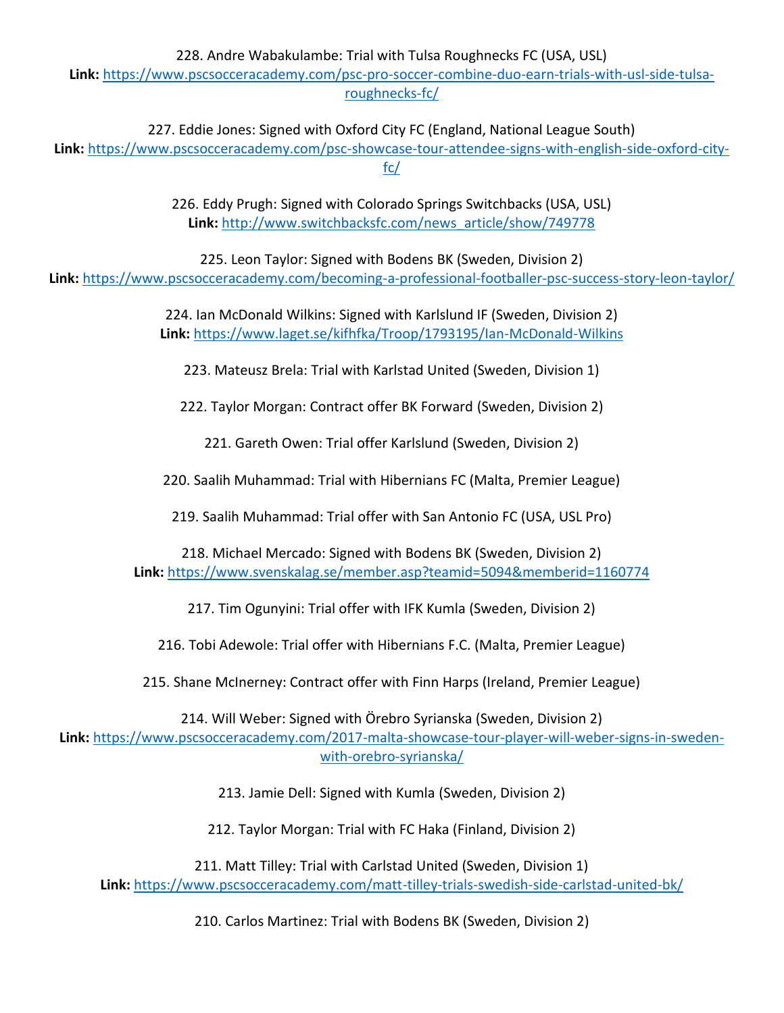228. Andre Wabakulambe: Trial with Tulsa Roughnecks FC (USA, USL) **Link:** [https://www.pscsocceracademy.com/psc-pro-soccer-combine-duo-earn-trials-with-usl-side-tulsa](https://www.pscsocceracademy.com/psc-pro-soccer-combine-duo-earn-trials-with-usl-side-tulsa-roughnecks-fc/)[roughnecks-fc/](https://www.pscsocceracademy.com/psc-pro-soccer-combine-duo-earn-trials-with-usl-side-tulsa-roughnecks-fc/)

227. Eddie Jones: Signed with Oxford City FC (England, National League South) **Link:** [https://www.pscsocceracademy.com/psc-showcase-tour-attendee-signs-with-english-side-oxford-city](https://www.pscsocceracademy.com/psc-showcase-tour-attendee-signs-with-english-side-oxford-city-fc/)[fc/](https://www.pscsocceracademy.com/psc-showcase-tour-attendee-signs-with-english-side-oxford-city-fc/)

> 226. Eddy Prugh: Signed with Colorado Springs Switchbacks (USA, USL) **Link:** [http://www.switchbacksfc.com/news\\_article/show/749778](http://www.switchbacksfc.com/news_article/show/749778)

225. Leon Taylor: Signed with Bodens BK (Sweden, Division 2) **Link:** <https://www.pscsocceracademy.com/becoming-a-professional-footballer-psc-success-story-leon-taylor/>

> 224. Ian McDonald Wilkins: Signed with Karlslund IF (Sweden, Division 2) **Link:** <https://www.laget.se/kifhfka/Troop/1793195/Ian-McDonald-Wilkins>

223. Mateusz Brela: Trial with Karlstad United (Sweden, Division 1)

222. Taylor Morgan: Contract offer BK Forward (Sweden, Division 2)

221. Gareth Owen: Trial offer Karlslund (Sweden, Division 2)

220. Saalih Muhammad: Trial with Hibernians FC (Malta, Premier League)

219. Saalih Muhammad: Trial offer with San Antonio FC (USA, USL Pro)

218. Michael Mercado: Signed with Bodens BK (Sweden, Division 2) **Link:** <https://www.svenskalag.se/member.asp?teamid=5094&memberid=1160774>

217. Tim Ogunyini: Trial offer with IFK Kumla (Sweden, Division 2)

216. Tobi Adewole: Trial offer with Hibernians F.C. (Malta, Premier League)

215. Shane McInerney: Contract offer with Finn Harps (Ireland, Premier League)

214. Will Weber: Signed with Örebro Syrianska (Sweden, Division 2)

**Link:** [https://www.pscsocceracademy.com/2017-malta-showcase-tour-player-will-weber-signs-in-sweden](https://www.pscsocceracademy.com/2017-malta-showcase-tour-player-will-weber-signs-in-sweden-with-orebro-syrianska/)[with-orebro-syrianska/](https://www.pscsocceracademy.com/2017-malta-showcase-tour-player-will-weber-signs-in-sweden-with-orebro-syrianska/)

213. Jamie Dell: Signed with Kumla (Sweden, Division 2)

212. Taylor Morgan: Trial with FC Haka (Finland, Division 2)

211. Matt Tilley: Trial with Carlstad United (Sweden, Division 1) **Link:** <https://www.pscsocceracademy.com/matt-tilley-trials-swedish-side-carlstad-united-bk/>

210. Carlos Martinez: Trial with Bodens BK (Sweden, Division 2)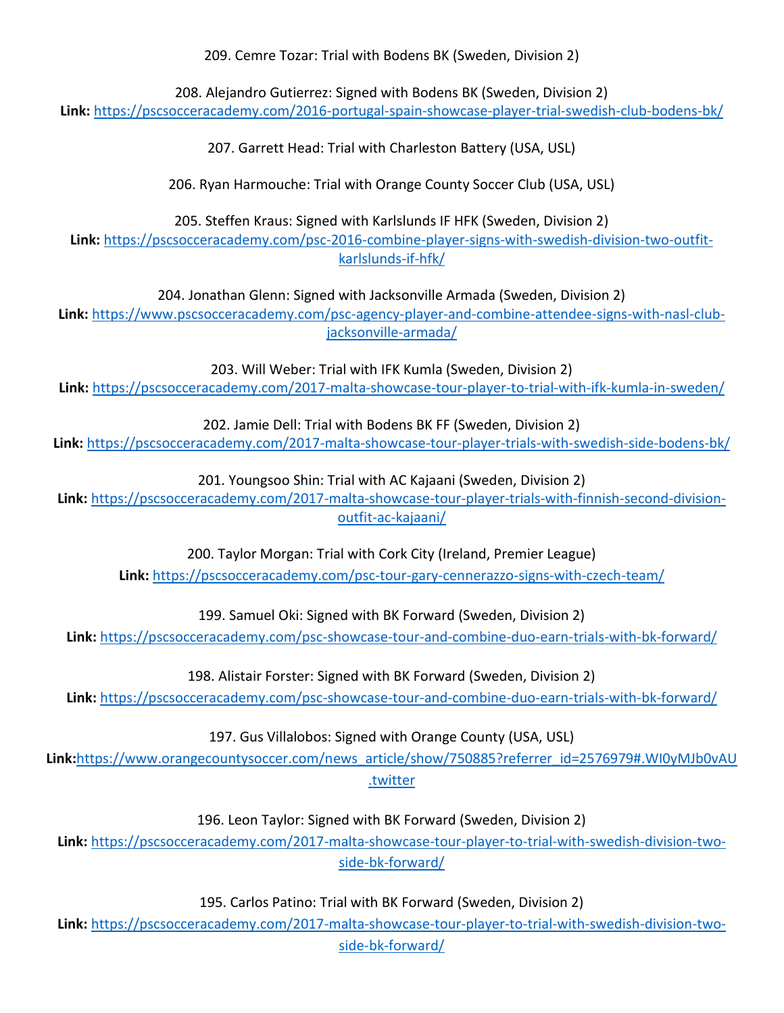209. Cemre Tozar: Trial with Bodens BK (Sweden, Division 2)

208. Alejandro Gutierrez: Signed with Bodens BK (Sweden, Division 2) **Link:** <https://pscsocceracademy.com/2016-portugal-spain-showcase-player-trial-swedish-club-bodens-bk/>

207. Garrett Head: Trial with Charleston Battery (USA, USL)

206. Ryan Harmouche: Trial with Orange County Soccer Club (USA, USL)

205. Steffen Kraus: Signed with Karlslunds IF HFK (Sweden, Division 2) **Link:** [https://pscsocceracademy.com/psc-2016-combine-player-signs-with-swedish-division-two-outfit](https://pscsocceracademy.com/psc-2016-combine-player-signs-with-swedish-division-two-outfit-karlslunds-if-hfk/)[karlslunds-if-hfk/](https://pscsocceracademy.com/psc-2016-combine-player-signs-with-swedish-division-two-outfit-karlslunds-if-hfk/)

204. Jonathan Glenn: Signed with Jacksonville Armada (Sweden, Division 2)

**Link:** [https://www.pscsocceracademy.com/psc-agency-player-and-combine-attendee-signs-with-nasl-club](https://www.pscsocceracademy.com/psc-agency-player-and-combine-attendee-signs-with-nasl-club-jacksonville-armada/)[jacksonville-armada/](https://www.pscsocceracademy.com/psc-agency-player-and-combine-attendee-signs-with-nasl-club-jacksonville-armada/)

203. Will Weber: Trial with IFK Kumla (Sweden, Division 2)

**Link:** <https://pscsocceracademy.com/2017-malta-showcase-tour-player-to-trial-with-ifk-kumla-in-sweden/>

202. Jamie Dell: Trial with Bodens BK FF (Sweden, Division 2)

**Link:** <https://pscsocceracademy.com/2017-malta-showcase-tour-player-trials-with-swedish-side-bodens-bk/>

201. Youngsoo Shin: Trial with AC Kajaani (Sweden, Division 2)

**Link:** [https://pscsocceracademy.com/2017-malta-showcase-tour-player-trials-with-finnish-second-division](https://pscsocceracademy.com/2017-malta-showcase-tour-player-trials-with-finnish-second-division-outfit-ac-kajaani/)[outfit-ac-kajaani/](https://pscsocceracademy.com/2017-malta-showcase-tour-player-trials-with-finnish-second-division-outfit-ac-kajaani/)

200. Taylor Morgan: Trial with Cork City (Ireland, Premier League)

**Link:** <https://pscsocceracademy.com/psc-tour-gary-cennerazzo-signs-with-czech-team/>

199. Samuel Oki: Signed with BK Forward (Sweden, Division 2)

**Link:** <https://pscsocceracademy.com/psc-showcase-tour-and-combine-duo-earn-trials-with-bk-forward/>

198. Alistair Forster: Signed with BK Forward (Sweden, Division 2)

**Link:** <https://pscsocceracademy.com/psc-showcase-tour-and-combine-duo-earn-trials-with-bk-forward/>

197. Gus Villalobos: Signed with Orange County (USA, USL)

Link:[https://www.orangecountysoccer.com/news\\_article/show/750885?referrer\\_id=2576979#.WI0yMJb0vAU](https://www.orangecountysoccer.com/news_article/show/750885?referrer_id=2576979#.WI0yMJb0vAU.twitter) [.twitter](https://www.orangecountysoccer.com/news_article/show/750885?referrer_id=2576979#.WI0yMJb0vAU.twitter)

196. Leon Taylor: Signed with BK Forward (Sweden, Division 2)

**Link:** [https://pscsocceracademy.com/2017-malta-showcase-tour-player-to-trial-with-swedish-division-two](https://pscsocceracademy.com/2017-malta-showcase-tour-player-to-trial-with-swedish-division-two-side-bk-forward/)[side-bk-forward/](https://pscsocceracademy.com/2017-malta-showcase-tour-player-to-trial-with-swedish-division-two-side-bk-forward/)

195. Carlos Patino: Trial with BK Forward (Sweden, Division 2)

**Link:** [https://pscsocceracademy.com/2017-malta-showcase-tour-player-to-trial-with-swedish-division-two](https://pscsocceracademy.com/2017-malta-showcase-tour-player-to-trial-with-swedish-division-two-side-bk-forward/)[side-bk-forward/](https://pscsocceracademy.com/2017-malta-showcase-tour-player-to-trial-with-swedish-division-two-side-bk-forward/)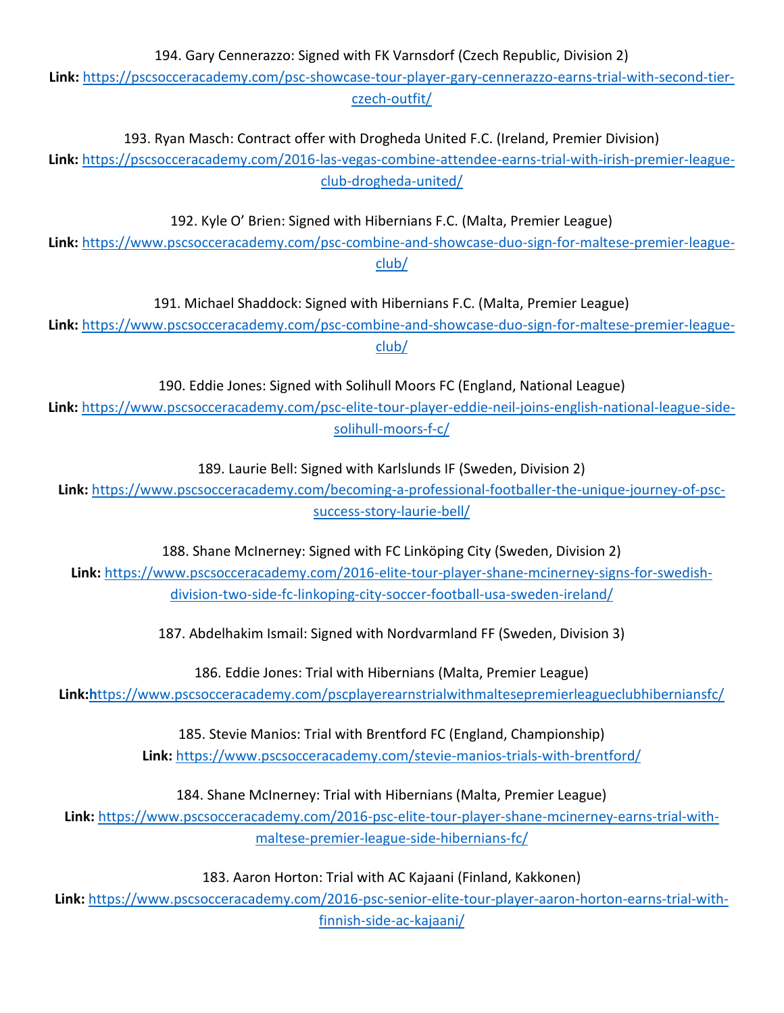194. Gary Cennerazzo: Signed with FK Varnsdorf (Czech Republic, Division 2)

**Link:** [https://pscsocceracademy.com/psc-showcase-tour-player-gary-cennerazzo-earns-trial-with-second-tier](https://pscsocceracademy.com/psc-showcase-tour-player-gary-cennerazzo-earns-trial-with-second-tier-czech-outfit/)[czech-outfit/](https://pscsocceracademy.com/psc-showcase-tour-player-gary-cennerazzo-earns-trial-with-second-tier-czech-outfit/)

193. Ryan Masch: Contract offer with Drogheda United F.C. (Ireland, Premier Division)

**Link:** [https://pscsocceracademy.com/2016-las-vegas-combine-attendee-earns-trial-with-irish-premier-league](https://pscsocceracademy.com/2016-las-vegas-combine-attendee-earns-trial-with-irish-premier-league-club-drogheda-united/)[club-drogheda-united/](https://pscsocceracademy.com/2016-las-vegas-combine-attendee-earns-trial-with-irish-premier-league-club-drogheda-united/)

192. Kyle O' Brien: Signed with Hibernians F.C. (Malta, Premier League)

**Link:** [https://www.pscsocceracademy.com/psc-combine-and-showcase-duo-sign-for-maltese-premier-league](https://www.pscsocceracademy.com/psc-combine-and-showcase-duo-sign-for-maltese-premier-league-club/)[club/](https://www.pscsocceracademy.com/psc-combine-and-showcase-duo-sign-for-maltese-premier-league-club/)

191. Michael Shaddock: Signed with Hibernians F.C. (Malta, Premier League)

**Link:** [https://www.pscsocceracademy.com/psc-combine-and-showcase-duo-sign-for-maltese-premier-league](https://www.pscsocceracademy.com/psc-combine-and-showcase-duo-sign-for-maltese-premier-league-club/)[club/](https://www.pscsocceracademy.com/psc-combine-and-showcase-duo-sign-for-maltese-premier-league-club/)

190. Eddie Jones: Signed with Solihull Moors FC (England, National League)

**Link:** [https://www.pscsocceracademy.com/psc-elite-tour-player-eddie-neil-joins-english-national-league-side](https://www.pscsocceracademy.com/psc-elite-tour-player-eddie-neil-joins-english-national-league-side-solihull-moors-f-c/)[solihull-moors-f-c/](https://www.pscsocceracademy.com/psc-elite-tour-player-eddie-neil-joins-english-national-league-side-solihull-moors-f-c/)

189. Laurie Bell: Signed with Karlslunds IF (Sweden, Division 2)

**Link:** [https://www.pscsocceracademy.com/becoming-a-professional-footballer-the-unique-journey-of-psc](https://www.pscsocceracademy.com/becoming-a-professional-footballer-the-unique-journey-of-psc-success-story-laurie-bell/)[success-story-laurie-bell/](https://www.pscsocceracademy.com/becoming-a-professional-footballer-the-unique-journey-of-psc-success-story-laurie-bell/)

188. Shane McInerney: Signed with FC Linköping City (Sweden, Division 2)

**Link:** [https://www.pscsocceracademy.com/2016-elite-tour-player-shane-mcinerney-signs-for-swedish](https://www.pscsocceracademy.com/2016-elite-tour-player-shane-mcinerney-signs-for-swedish-division-two-side-fc-linkoping-city-soccer-football-usa-sweden-ireland/)[division-two-side-fc-linkoping-city-soccer-football-usa-sweden-ireland/](https://www.pscsocceracademy.com/2016-elite-tour-player-shane-mcinerney-signs-for-swedish-division-two-side-fc-linkoping-city-soccer-football-usa-sweden-ireland/)

187. Abdelhakim Ismail: Signed with Nordvarmland FF (Sweden, Division 3)

186. Eddie Jones: Trial with Hibernians (Malta, Premier League)

**Link:h**[ttps://www.pscsocceracademy.com/pscplayerearnstrialwithmaltesepremierleagueclubhiberniansfc/](https://www.pscsocceracademy.com/pscplayerearnstrialwithmaltesepremierleagueclubhiberniansfc/)

185. Stevie Manios: Trial with Brentford FC (England, Championship)

**Link:** <https://www.pscsocceracademy.com/stevie-manios-trials-with-brentford/>

184. Shane McInerney: Trial with Hibernians (Malta, Premier League)

**Link:** [https://www.pscsocceracademy.com/2016-psc-elite-tour-player-shane-mcinerney-earns-trial-with](https://www.pscsocceracademy.com/2016-psc-elite-tour-player-shane-mcinerney-earns-trial-with-maltese-premier-league-side-hibernians-fc/)[maltese-premier-league-side-hibernians-fc/](https://www.pscsocceracademy.com/2016-psc-elite-tour-player-shane-mcinerney-earns-trial-with-maltese-premier-league-side-hibernians-fc/)

183. Aaron Horton: Trial with AC Kajaani (Finland, Kakkonen)

**Link:** [https://www.pscsocceracademy.com/2016-psc-senior-elite-tour-player-aaron-horton-earns-trial-with](https://www.pscsocceracademy.com/2016-psc-senior-elite-tour-player-aaron-horton-earns-trial-with-finnish-side-ac-kajaani/)[finnish-side-ac-kajaani/](https://www.pscsocceracademy.com/2016-psc-senior-elite-tour-player-aaron-horton-earns-trial-with-finnish-side-ac-kajaani/)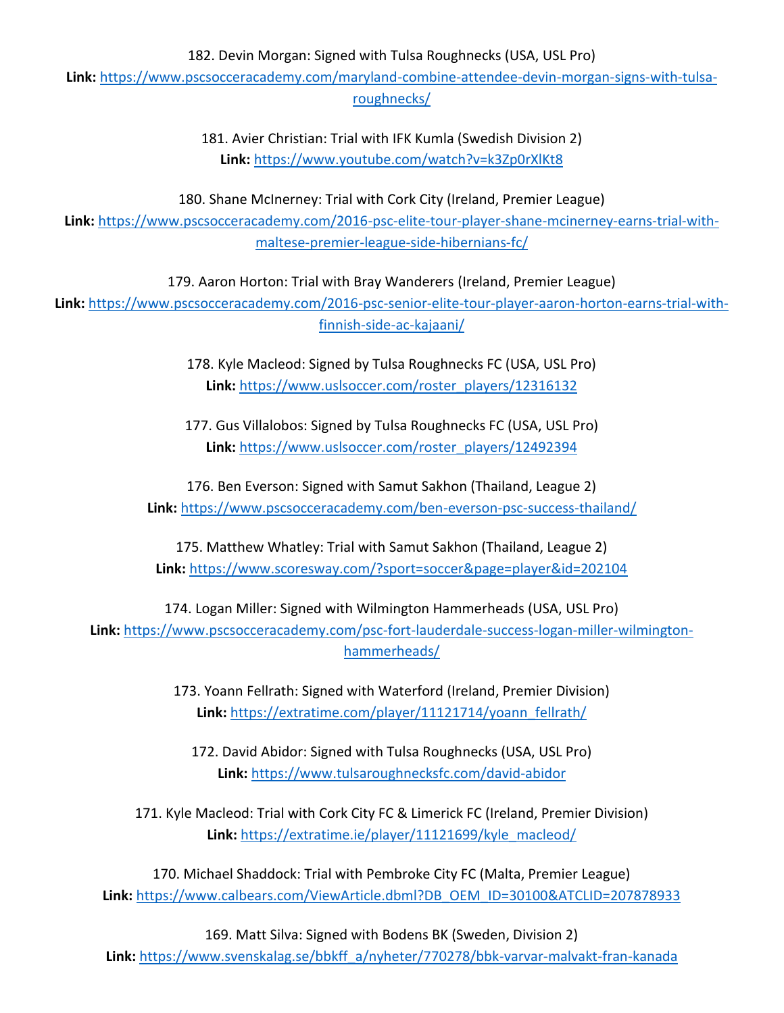182. Devin Morgan: Signed with Tulsa Roughnecks (USA, USL Pro)

**Link:** [https://www.pscsocceracademy.com/maryland-combine-attendee-devin-morgan-signs-with-tulsa](https://www.pscsocceracademy.com/maryland-combine-attendee-devin-morgan-signs-with-tulsa-roughnecks/)[roughnecks/](https://www.pscsocceracademy.com/maryland-combine-attendee-devin-morgan-signs-with-tulsa-roughnecks/)

> 181. Avier Christian: Trial with IFK Kumla (Swedish Division 2) **Link:** <https://www.youtube.com/watch?v=k3Zp0rXlKt8>

180. Shane McInerney: Trial with Cork City (Ireland, Premier League)

**Link:** [https://www.pscsocceracademy.com/2016-psc-elite-tour-player-shane-mcinerney-earns-trial-with](https://www.pscsocceracademy.com/2016-psc-elite-tour-player-shane-mcinerney-earns-trial-with-maltese-premier-league-side-hibernians-fc/)[maltese-premier-league-side-hibernians-fc/](https://www.pscsocceracademy.com/2016-psc-elite-tour-player-shane-mcinerney-earns-trial-with-maltese-premier-league-side-hibernians-fc/)

179. Aaron Horton: Trial with Bray Wanderers (Ireland, Premier League)

**Link:** [https://www.pscsocceracademy.com/2016-psc-senior-elite-tour-player-aaron-horton-earns-trial-with](https://www.pscsocceracademy.com/2016-psc-senior-elite-tour-player-aaron-horton-earns-trial-with-finnish-side-ac-kajaani/)[finnish-side-ac-kajaani/](https://www.pscsocceracademy.com/2016-psc-senior-elite-tour-player-aaron-horton-earns-trial-with-finnish-side-ac-kajaani/)

> 178. Kyle Macleod: Signed by Tulsa Roughnecks FC (USA, USL Pro) **Link:** [https://www.uslsoccer.com/roster\\_players/12316132](https://www.uslsoccer.com/roster_players/12316132)

> 177. Gus Villalobos: Signed by Tulsa Roughnecks FC (USA, USL Pro) **Link:** [https://www.uslsoccer.com/roster\\_players/12492394](https://www.uslsoccer.com/roster_players/12492394)

176. Ben Everson: Signed with Samut Sakhon (Thailand, League 2) **Link:** <https://www.pscsocceracademy.com/ben-everson-psc-success-thailand/>

175. Matthew Whatley: Trial with Samut Sakhon (Thailand, League 2) **Link:** <https://www.scoresway.com/?sport=soccer&page=player&id=202104>

174. Logan Miller: Signed with Wilmington Hammerheads (USA, USL Pro) **Link:** [https://www.pscsocceracademy.com/psc-fort-lauderdale-success-logan-miller-wilmington](https://www.pscsocceracademy.com/psc-fort-lauderdale-success-logan-miller-wilmington-hammerheads/)[hammerheads/](https://www.pscsocceracademy.com/psc-fort-lauderdale-success-logan-miller-wilmington-hammerheads/)

> 173. Yoann Fellrath: Signed with Waterford (Ireland, Premier Division) **Link:** [https://extratime.com/player/11121714/yoann\\_fellrath/](https://extratime.com/player/11121714/yoann_fellrath/)

172. David Abidor: Signed with Tulsa Roughnecks (USA, USL Pro) **Link:** <https://www.tulsaroughnecksfc.com/david-abidor>

171. Kyle Macleod: Trial with Cork City FC & Limerick FC (Ireland, Premier Division) **Link:** [https://extratime.ie/player/11121699/kyle\\_macleod/](https://extratime.ie/player/11121699/kyle_macleod/)

170. Michael Shaddock: Trial with Pembroke City FC (Malta, Premier League) **Link:** [https://www.calbears.com/ViewArticle.dbml?DB\\_OEM\\_ID=30100&ATCLID=207878933](https://www.calbears.com/ViewArticle.dbml?DB_OEM_ID=30100&ATCLID=207878933)

169. Matt Silva: Signed with Bodens BK (Sweden, Division 2)

**Link:** [https://www.svenskalag.se/bbkff\\_a/nyheter/770278/bbk-varvar-malvakt-fran-kanada](https://www.svenskalag.se/bbkff_a/nyheter/770278/bbk-varvar-malvakt-fran-kanada)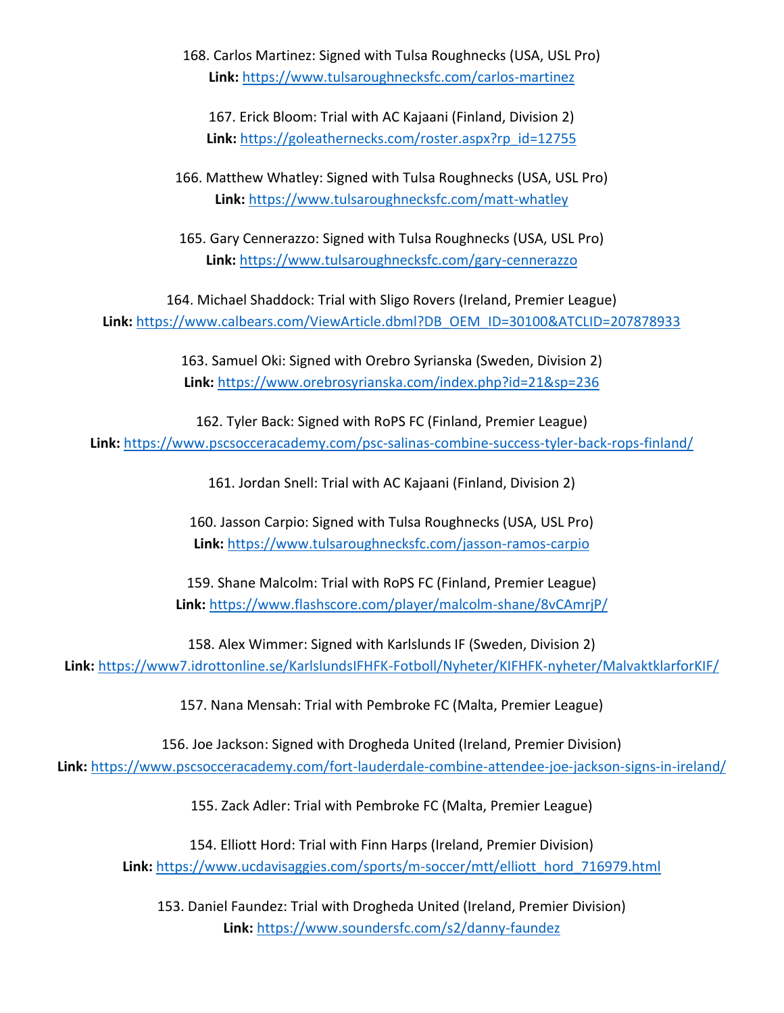168. Carlos Martinez: Signed with Tulsa Roughnecks (USA, USL Pro) **Link:** <https://www.tulsaroughnecksfc.com/carlos-martinez>

167. Erick Bloom: Trial with AC Kajaani (Finland, Division 2) **Link:** [https://goleathernecks.com/roster.aspx?rp\\_id=12755](https://goleathernecks.com/roster.aspx?rp_id=12755)

166. Matthew Whatley: Signed with Tulsa Roughnecks (USA, USL Pro) **Link:** <https://www.tulsaroughnecksfc.com/matt-whatley>

165. Gary Cennerazzo: Signed with Tulsa Roughnecks (USA, USL Pro) **Link:** <https://www.tulsaroughnecksfc.com/gary-cennerazzo>

164. Michael Shaddock: Trial with Sligo Rovers (Ireland, Premier League) **Link:** [https://www.calbears.com/ViewArticle.dbml?DB\\_OEM\\_ID=30100&ATCLID=207878933](https://www.calbears.com/ViewArticle.dbml?DB_OEM_ID=30100&ATCLID=207878933)

> 163. Samuel Oki: Signed with Orebro Syrianska (Sweden, Division 2) **Link:** <https://www.orebrosyrianska.com/index.php?id=21&sp=236>

162. Tyler Back: Signed with RoPS FC (Finland, Premier League) **Link:** <https://www.pscsocceracademy.com/psc-salinas-combine-success-tyler-back-rops-finland/>

161. Jordan Snell: Trial with AC Kajaani (Finland, Division 2)

160. Jasson Carpio: Signed with Tulsa Roughnecks (USA, USL Pro) **Link:** <https://www.tulsaroughnecksfc.com/jasson-ramos-carpio>

159. Shane Malcolm: Trial with RoPS FC (Finland, Premier League) **Link:** <https://www.flashscore.com/player/malcolm-shane/8vCAmrjP/>

158. Alex Wimmer: Signed with Karlslunds IF (Sweden, Division 2) **Link:** <https://www7.idrottonline.se/KarlslundsIFHFK-Fotboll/Nyheter/KIFHFK-nyheter/MalvaktklarforKIF/>

157. Nana Mensah: Trial with Pembroke FC (Malta, Premier League)

156. Joe Jackson: Signed with Drogheda United (Ireland, Premier Division)

**Link:** <https://www.pscsocceracademy.com/fort-lauderdale-combine-attendee-joe-jackson-signs-in-ireland/>

155. Zack Adler: Trial with Pembroke FC (Malta, Premier League)

154. Elliott Hord: Trial with Finn Harps (Ireland, Premier Division) **Link:** [https://www.ucdavisaggies.com/sports/m-soccer/mtt/elliott\\_hord\\_716979.html](https://www.ucdavisaggies.com/sports/m-soccer/mtt/elliott_hord_716979.html)

153. Daniel Faundez: Trial with Drogheda United (Ireland, Premier Division) **Link:** <https://www.soundersfc.com/s2/danny-faundez>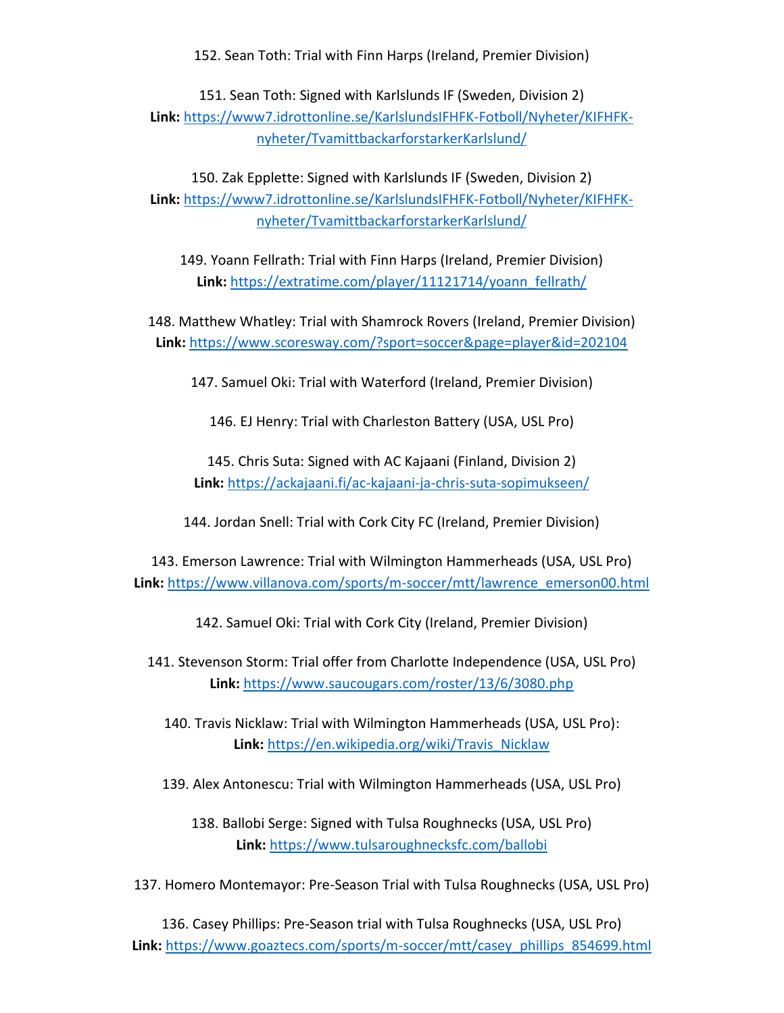152. Sean Toth: Trial with Finn Harps (Ireland, Premier Division)

151. Sean Toth: Signed with Karlslunds IF (Sweden, Division 2) **Link:** [https://www7.idrottonline.se/KarlslundsIFHFK-Fotboll/Nyheter/KIFHFK](https://www7.idrottonline.se/KarlslundsIFHFK-Fotboll/Nyheter/KIFHFK-nyheter/TvamittbackarforstarkerKarlslund/)[nyheter/TvamittbackarforstarkerKarlslund/](https://www7.idrottonline.se/KarlslundsIFHFK-Fotboll/Nyheter/KIFHFK-nyheter/TvamittbackarforstarkerKarlslund/)

150. Zak Epplette: Signed with Karlslunds IF (Sweden, Division 2) **Link:** [https://www7.idrottonline.se/KarlslundsIFHFK-Fotboll/Nyheter/KIFHFK](https://www7.idrottonline.se/KarlslundsIFHFK-Fotboll/Nyheter/KIFHFK-nyheter/TvamittbackarforstarkerKarlslund/)[nyheter/TvamittbackarforstarkerKarlslund/](https://www7.idrottonline.se/KarlslundsIFHFK-Fotboll/Nyheter/KIFHFK-nyheter/TvamittbackarforstarkerKarlslund/)

149. Yoann Fellrath: Trial with Finn Harps (Ireland, Premier Division) **Link:** [https://extratime.com/player/11121714/yoann\\_fellrath/](https://extratime.com/player/11121714/yoann_fellrath/)

148. Matthew Whatley: Trial with Shamrock Rovers (Ireland, Premier Division) **Link:** <https://www.scoresway.com/?sport=soccer&page=player&id=202104>

147. Samuel Oki: Trial with Waterford (Ireland, Premier Division)

146. EJ Henry: Trial with Charleston Battery (USA, USL Pro)

145. Chris Suta: Signed with AC Kajaani (Finland, Division 2) **Link:** <https://ackajaani.fi/ac-kajaani-ja-chris-suta-sopimukseen/>

144. Jordan Snell: Trial with Cork City FC (Ireland, Premier Division)

143. Emerson Lawrence: Trial with Wilmington Hammerheads (USA, USL Pro) **Link:** [https://www.villanova.com/sports/m-soccer/mtt/lawrence\\_emerson00.html](https://www.villanova.com/sports/m-soccer/mtt/lawrence_emerson00.html)

142. Samuel Oki: Trial with Cork City (Ireland, Premier Division)

141. Stevenson Storm: Trial offer from Charlotte Independence (USA, USL Pro) **Link:** <https://www.saucougars.com/roster/13/6/3080.php>

140. Travis Nicklaw: Trial with Wilmington Hammerheads (USA, USL Pro): **Link:** [https://en.wikipedia.org/wiki/Travis\\_Nicklaw](https://en.wikipedia.org/wiki/Travis_Nicklaw)

139. Alex Antonescu: Trial with Wilmington Hammerheads (USA, USL Pro)

138. Ballobi Serge: Signed with Tulsa Roughnecks (USA, USL Pro) **Link:** <https://www.tulsaroughnecksfc.com/ballobi>

137. Homero Montemayor: Pre-Season Trial with Tulsa Roughnecks (USA, USL Pro)

136. Casey Phillips: Pre-Season trial with Tulsa Roughnecks (USA, USL Pro) **Link:** [https://www.goaztecs.com/sports/m-soccer/mtt/casey\\_phillips\\_854699.html](https://www.goaztecs.com/sports/m-soccer/mtt/casey_phillips_854699.html)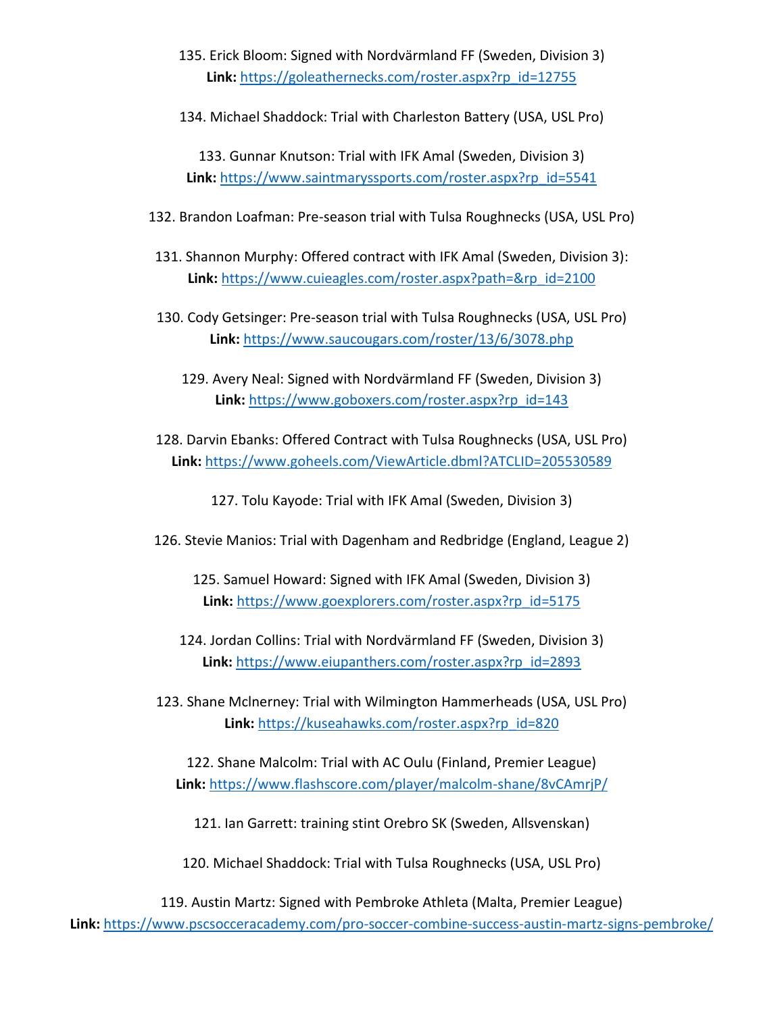- 135. Erick Bloom: Signed with Nordvärmland FF (Sweden, Division 3) **Link:** [https://goleathernecks.com/roster.aspx?rp\\_id=12755](https://goleathernecks.com/roster.aspx?rp_id=12755)
- 134. Michael Shaddock: Trial with Charleston Battery (USA, USL Pro)

133. Gunnar Knutson: Trial with IFK Amal (Sweden, Division 3) **Link:** [https://www.saintmaryssports.com/roster.aspx?rp\\_id=5541](https://www.saintmaryssports.com/roster.aspx?rp_id=5541)

- 132. Brandon Loafman: Pre-season trial with Tulsa Roughnecks (USA, USL Pro)
- 131. Shannon Murphy: Offered contract with IFK Amal (Sweden, Division 3): **Link:** [https://www.cuieagles.com/roster.aspx?path=&rp\\_id=2100](https://www.cuieagles.com/roster.aspx?path=&rp_id=2100)
- 130. Cody Getsinger: Pre-season trial with Tulsa Roughnecks (USA, USL Pro) **Link:** <https://www.saucougars.com/roster/13/6/3078.php>
	- 129. Avery Neal: Signed with Nordvärmland FF (Sweden, Division 3) **Link:** [https://www.goboxers.com/roster.aspx?rp\\_id=143](https://www.goboxers.com/roster.aspx?rp_id=143)
- 128. Darvin Ebanks: Offered Contract with Tulsa Roughnecks (USA, USL Pro) **Link:** <https://www.goheels.com/ViewArticle.dbml?ATCLID=205530589>

127. Tolu Kayode: Trial with IFK Amal (Sweden, Division 3)

126. Stevie Manios: Trial with Dagenham and Redbridge (England, League 2)

125. Samuel Howard: Signed with IFK Amal (Sweden, Division 3) **Link:** [https://www.goexplorers.com/roster.aspx?rp\\_id=5175](https://www.goexplorers.com/roster.aspx?rp_id=5175)

- 124. Jordan Collins: Trial with Nordvärmland FF (Sweden, Division 3) **Link:** [https://www.eiupanthers.com/roster.aspx?rp\\_id=2893](https://www.eiupanthers.com/roster.aspx?rp_id=2893)
- 123. Shane Mclnerney: Trial with Wilmington Hammerheads (USA, USL Pro) **Link:** [https://kuseahawks.com/roster.aspx?rp\\_id=820](https://kuseahawks.com/roster.aspx?rp_id=820)

122. Shane Malcolm: Trial with AC Oulu (Finland, Premier League) **Link:** <https://www.flashscore.com/player/malcolm-shane/8vCAmrjP/>

121. Ian Garrett: training stint Orebro SK (Sweden, Allsvenskan)

120. Michael Shaddock: Trial with Tulsa Roughnecks (USA, USL Pro)

119. Austin Martz: Signed with Pembroke Athleta (Malta, Premier League) **Link:** <https://www.pscsocceracademy.com/pro-soccer-combine-success-austin-martz-signs-pembroke/>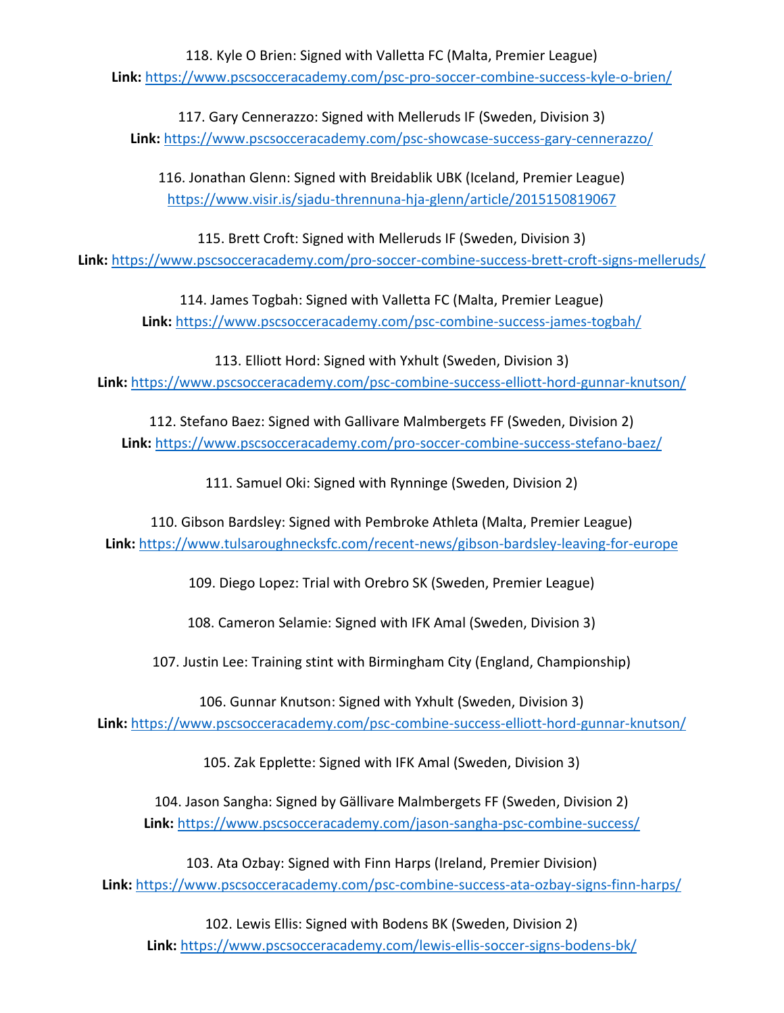118. Kyle O Brien: Signed with Valletta FC (Malta, Premier League)

**Link:** <https://www.pscsocceracademy.com/psc-pro-soccer-combine-success-kyle-o-brien/>

117. Gary Cennerazzo: Signed with Melleruds IF (Sweden, Division 3) **Link:** <https://www.pscsocceracademy.com/psc-showcase-success-gary-cennerazzo/>

116. Jonathan Glenn: Signed with Breidablik UBK (Iceland, Premier League) <https://www.visir.is/sjadu-thrennuna-hja-glenn/article/2015150819067>

115. Brett Croft: Signed with Melleruds IF (Sweden, Division 3) **Link:** <https://www.pscsocceracademy.com/pro-soccer-combine-success-brett-croft-signs-melleruds/>

114. James Togbah: Signed with Valletta FC (Malta, Premier League) **Link:** <https://www.pscsocceracademy.com/psc-combine-success-james-togbah/>

113. Elliott Hord: Signed with Yxhult (Sweden, Division 3) **Link:** <https://www.pscsocceracademy.com/psc-combine-success-elliott-hord-gunnar-knutson/>

112. Stefano Baez: Signed with Gallivare Malmbergets FF (Sweden, Division 2) **Link:** <https://www.pscsocceracademy.com/pro-soccer-combine-success-stefano-baez/>

111. Samuel Oki: Signed with Rynninge (Sweden, Division 2)

110. Gibson Bardsley: Signed with Pembroke Athleta (Malta, Premier League) **Link:** <https://www.tulsaroughnecksfc.com/recent-news/gibson-bardsley-leaving-for-europe>

109. Diego Lopez: Trial with Orebro SK (Sweden, Premier League)

108. Cameron Selamie: Signed with IFK Amal (Sweden, Division 3)

107. Justin Lee: Training stint with Birmingham City (England, Championship)

106. Gunnar Knutson: Signed with Yxhult (Sweden, Division 3)

**Link:** <https://www.pscsocceracademy.com/psc-combine-success-elliott-hord-gunnar-knutson/>

105. Zak Epplette: Signed with IFK Amal (Sweden, Division 3)

104. Jason Sangha: Signed by Gällivare Malmbergets FF (Sweden, Division 2) **Link:** <https://www.pscsocceracademy.com/jason-sangha-psc-combine-success/>

103. Ata Ozbay: Signed with Finn Harps (Ireland, Premier Division) **Link:** <https://www.pscsocceracademy.com/psc-combine-success-ata-ozbay-signs-finn-harps/>

102. Lewis Ellis: Signed with Bodens BK (Sweden, Division 2) **Link:** <https://www.pscsocceracademy.com/lewis-ellis-soccer-signs-bodens-bk/>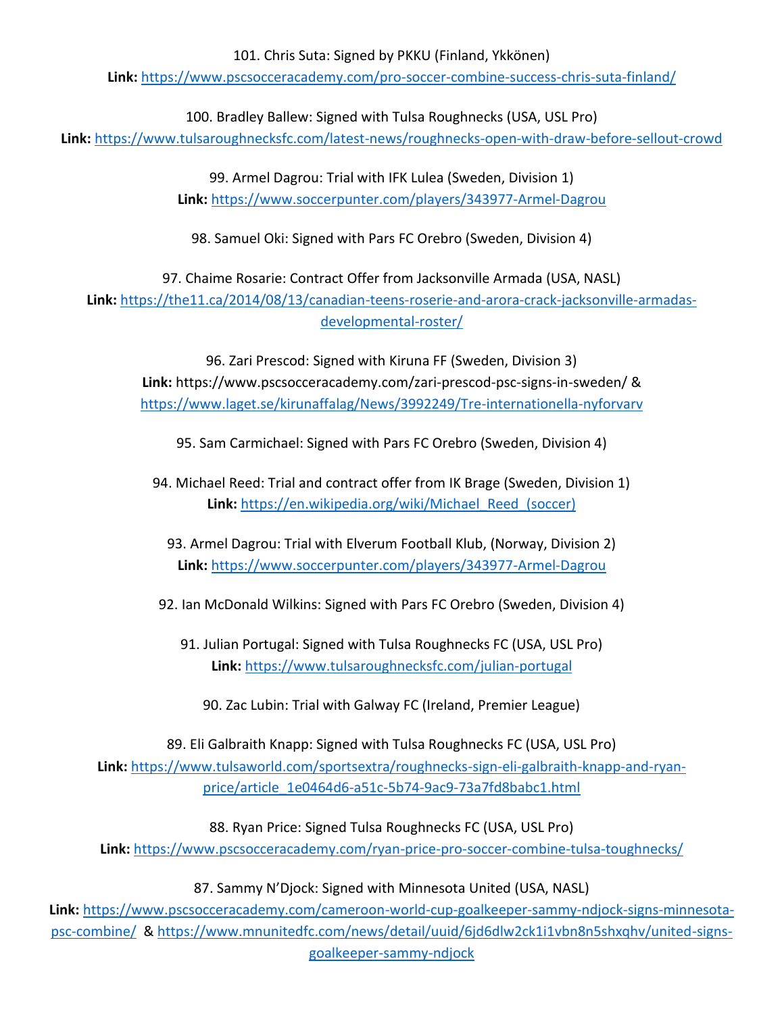#### 101. Chris Suta: Signed by PKKU (Finland, Ykkönen)

**Link:** <https://www.pscsocceracademy.com/pro-soccer-combine-success-chris-suta-finland/>

100. Bradley Ballew: Signed with Tulsa Roughnecks (USA, USL Pro) **Link:** <https://www.tulsaroughnecksfc.com/latest-news/roughnecks-open-with-draw-before-sellout-crowd>

> 99. Armel Dagrou: Trial with IFK Lulea (Sweden, Division 1) **Link:** <https://www.soccerpunter.com/players/343977-Armel-Dagrou>

98. Samuel Oki: Signed with Pars FC Orebro (Sweden, Division 4)

97. Chaime Rosarie: Contract Offer from Jacksonville Armada (USA, NASL) **Link:** [https://the11.ca/2014/08/13/canadian-teens-roserie-and-arora-crack-jacksonville-armadas](https://the11.ca/2014/08/13/canadian-teens-roserie-and-arora-crack-jacksonville-armadas-developmental-roster/)[developmental-roster/](https://the11.ca/2014/08/13/canadian-teens-roserie-and-arora-crack-jacksonville-armadas-developmental-roster/)

96. Zari Prescod: Signed with Kiruna FF (Sweden, Division 3) **Link:** https://www.pscsocceracademy.com/zari-prescod-psc-signs-in-sweden/ & <https://www.laget.se/kirunaffalag/News/3992249/Tre-internationella-nyforvarv>

95. Sam Carmichael: Signed with Pars FC Orebro (Sweden, Division 4)

94. Michael Reed: Trial and contract offer from IK Brage (Sweden, Division 1) **Link:** [https://en.wikipedia.org/wiki/Michael\\_Reed\\_\(soccer\)](https://en.wikipedia.org/wiki/Michael_Reed_(soccer))

93. Armel Dagrou: Trial with Elverum Football Klub, (Norway, Division 2) **Link:** <https://www.soccerpunter.com/players/343977-Armel-Dagrou>

92. Ian McDonald Wilkins: Signed with Pars FC Orebro (Sweden, Division 4)

91. Julian Portugal: Signed with Tulsa Roughnecks FC (USA, USL Pro) **Link:** <https://www.tulsaroughnecksfc.com/julian-portugal>

90. Zac Lubin: Trial with Galway FC (Ireland, Premier League)

89. Eli Galbraith Knapp: Signed with Tulsa Roughnecks FC (USA, USL Pro)

**Link:** [https://www.tulsaworld.com/sportsextra/roughnecks-sign-eli-galbraith-knapp-and-ryan](https://www.tulsaworld.com/sportsextra/roughnecks-sign-eli-galbraith-knapp-and-ryan-price/article_1e0464d6-a51c-5b74-9ac9-73a7fd8babc1.html)[price/article\\_1e0464d6-a51c-5b74-9ac9-73a7fd8babc1.html](https://www.tulsaworld.com/sportsextra/roughnecks-sign-eli-galbraith-knapp-and-ryan-price/article_1e0464d6-a51c-5b74-9ac9-73a7fd8babc1.html)

88. Ryan Price: Signed Tulsa Roughnecks FC (USA, USL Pro)

**Link:** <https://www.pscsocceracademy.com/ryan-price-pro-soccer-combine-tulsa-toughnecks/>

87. Sammy N'Djock: Signed with Minnesota United (USA, NASL)

**Link:** [https://www.pscsocceracademy.com/cameroon-world-cup-goalkeeper-sammy-ndjock-signs-minnesota](https://www.pscsocceracademy.com/cameroon-world-cup-goalkeeper-sammy-ndjock-signs-minnesota-psc-combine/)[psc-combine/](https://www.pscsocceracademy.com/cameroon-world-cup-goalkeeper-sammy-ndjock-signs-minnesota-psc-combine/) & [https://www.mnunitedfc.com/news/detail/uuid/6jd6dlw2ck1i1vbn8n5shxqhv/united-signs](https://www.mnunitedfc.com/news/detail/uuid/6jd6dlw2ck1i1vbn8n5shxqhv/united-signs-goalkeeper-sammy-ndjock)[goalkeeper-sammy-ndjock](https://www.mnunitedfc.com/news/detail/uuid/6jd6dlw2ck1i1vbn8n5shxqhv/united-signs-goalkeeper-sammy-ndjock)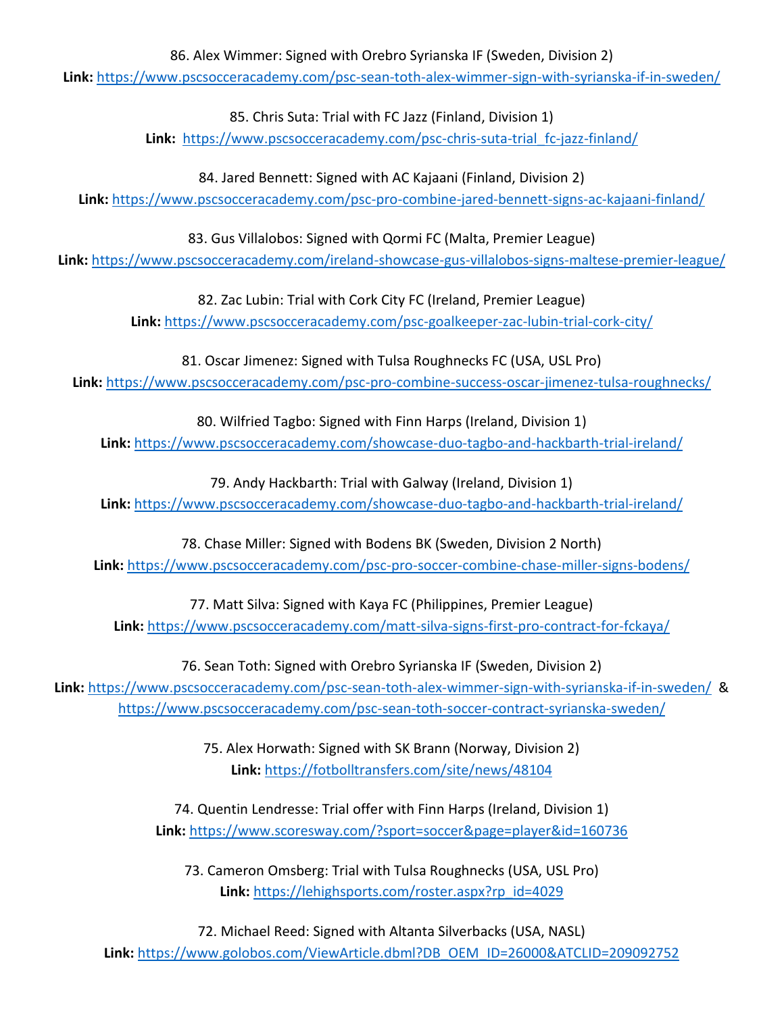86. Alex Wimmer: Signed with Orebro Syrianska IF (Sweden, Division 2)

**Link:** <https://www.pscsocceracademy.com/psc-sean-toth-alex-wimmer-sign-with-syrianska-if-in-sweden/>

85. Chris Suta: Trial with FC Jazz (Finland, Division 1)

**Link:** [https://www.pscsocceracademy.com/psc-chris-suta-trial\\_fc-jazz-finland/](https://www.pscsocceracademy.com/psc-chris-suta-trial_fc-jazz-finland/)

84. Jared Bennett: Signed with AC Kajaani (Finland, Division 2)

**Link:** <https://www.pscsocceracademy.com/psc-pro-combine-jared-bennett-signs-ac-kajaani-finland/>

83. Gus Villalobos: Signed with Qormi FC (Malta, Premier League)

**Link:** <https://www.pscsocceracademy.com/ireland-showcase-gus-villalobos-signs-maltese-premier-league/>

82. Zac Lubin: Trial with Cork City FC (Ireland, Premier League) **Link:** <https://www.pscsocceracademy.com/psc-goalkeeper-zac-lubin-trial-cork-city/>

81. Oscar Jimenez: Signed with Tulsa Roughnecks FC (USA, USL Pro) **Link:** <https://www.pscsocceracademy.com/psc-pro-combine-success-oscar-jimenez-tulsa-roughnecks/>

80. Wilfried Tagbo: Signed with Finn Harps (Ireland, Division 1)

**Link:** <https://www.pscsocceracademy.com/showcase-duo-tagbo-and-hackbarth-trial-ireland/>

79. Andy Hackbarth: Trial with Galway (Ireland, Division 1)

**Link:** <https://www.pscsocceracademy.com/showcase-duo-tagbo-and-hackbarth-trial-ireland/>

78. Chase Miller: Signed with Bodens BK (Sweden, Division 2 North) **Link:** <https://www.pscsocceracademy.com/psc-pro-soccer-combine-chase-miller-signs-bodens/>

77. Matt Silva: Signed with Kaya FC (Philippines, Premier League) **Link:** <https://www.pscsocceracademy.com/matt-silva-signs-first-pro-contract-for-fckaya/>

76. Sean Toth: Signed with Orebro Syrianska IF (Sweden, Division 2)

**Link:** <https://www.pscsocceracademy.com/psc-sean-toth-alex-wimmer-sign-with-syrianska-if-in-sweden/> & <https://www.pscsocceracademy.com/psc-sean-toth-soccer-contract-syrianska-sweden/>

> 75. Alex Horwath: Signed with SK Brann (Norway, Division 2) **Link:** <https://fotbolltransfers.com/site/news/48104>

74. Quentin Lendresse: Trial offer with Finn Harps (Ireland, Division 1) **Link:** <https://www.scoresway.com/?sport=soccer&page=player&id=160736>

73. Cameron Omsberg: Trial with Tulsa Roughnecks (USA, USL Pro) **Link:** [https://lehighsports.com/roster.aspx?rp\\_id=4029](https://lehighsports.com/roster.aspx?rp_id=4029)

72. Michael Reed: Signed with Altanta Silverbacks (USA, NASL)

**Link:** [https://www.golobos.com/ViewArticle.dbml?DB\\_OEM\\_ID=26000&ATCLID=209092752](https://www.golobos.com/ViewArticle.dbml?DB_OEM_ID=26000&ATCLID=209092752)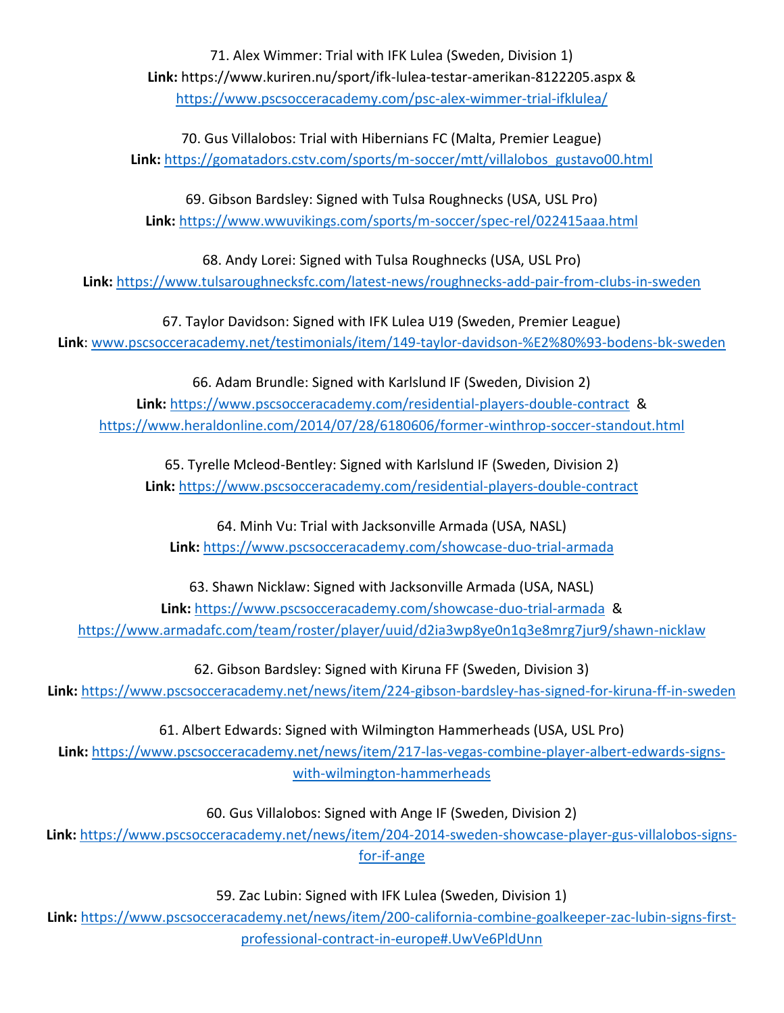71. Alex Wimmer: Trial with IFK Lulea (Sweden, Division 1) **Link:** https://www.kuriren.nu/sport/ifk-lulea-testar-amerikan-8122205.aspx & <https://www.pscsocceracademy.com/psc-alex-wimmer-trial-ifklulea/>

70. Gus Villalobos: Trial with Hibernians FC (Malta, Premier League) **Link:** [https://gomatadors.cstv.com/sports/m-soccer/mtt/villalobos\\_gustavo00.html](https://gomatadors.cstv.com/sports/m-soccer/mtt/villalobos_gustavo00.html)

69. Gibson Bardsley: Signed with Tulsa Roughnecks (USA, USL Pro) **Link:** <https://www.wwuvikings.com/sports/m-soccer/spec-rel/022415aaa.html>

68. Andy Lorei: Signed with Tulsa Roughnecks (USA, USL Pro) **Link:** <https://www.tulsaroughnecksfc.com/latest-news/roughnecks-add-pair-from-clubs-in-sweden>

67. Taylor Davidson: Signed with IFK Lulea U19 (Sweden, Premier League) **Link**: [www.pscsocceracademy.net/testimonials/item/149-taylor-davidson-%E2%80%93-bodens-bk-sweden](http://www.pscsocceracademy.net/testimonials/item/149-taylor-davidson-%E2%80%93-bodens-bk-sweden)

66. Adam Brundle: Signed with Karlslund IF (Sweden, Division 2) **Link:** <https://www.pscsocceracademy.com/residential-players-double-contract> & <https://www.heraldonline.com/2014/07/28/6180606/former-winthrop-soccer-standout.html>

65. Tyrelle Mcleod-Bentley: Signed with Karlslund IF (Sweden, Division 2) **Link:** <https://www.pscsocceracademy.com/residential-players-double-contract>

64. Minh Vu: Trial with Jacksonville Armada (USA, NASL) **Link:** <https://www.pscsocceracademy.com/showcase-duo-trial-armada>

63. Shawn Nicklaw: Signed with Jacksonville Armada (USA, NASL) **Link:** <https://www.pscsocceracademy.com/showcase-duo-trial-armada> & <https://www.armadafc.com/team/roster/player/uuid/d2ia3wp8ye0n1q3e8mrg7jur9/shawn-nicklaw>

62. Gibson Bardsley: Signed with Kiruna FF (Sweden, Division 3) **Link:** <https://www.pscsocceracademy.net/news/item/224-gibson-bardsley-has-signed-for-kiruna-ff-in-sweden>

61. Albert Edwards: Signed with Wilmington Hammerheads (USA, USL Pro) **Link:** [https://www.pscsocceracademy.net/news/item/217-las-vegas-combine-player-albert-edwards-signs](https://www.pscsocceracademy.net/news/item/217-las-vegas-combine-player-albert-edwards-signs-with-wilmington-hammerheads)[with-wilmington-hammerheads](https://www.pscsocceracademy.net/news/item/217-las-vegas-combine-player-albert-edwards-signs-with-wilmington-hammerheads)

60. Gus Villalobos: Signed with Ange IF (Sweden, Division 2)

**Link:** [https://www.pscsocceracademy.net/news/item/204-2014-sweden-showcase-player-gus-villalobos-signs](https://www.pscsocceracademy.net/news/item/204-2014-sweden-showcase-player-gus-villalobos-signs-for-if-ange)[for-if-ange](https://www.pscsocceracademy.net/news/item/204-2014-sweden-showcase-player-gus-villalobos-signs-for-if-ange)

59. Zac Lubin: Signed with IFK Lulea (Sweden, Division 1)

**Link:** [https://www.pscsocceracademy.net/news/item/200-california-combine-goalkeeper-zac-lubin-signs-first](https://www.pscsocceracademy.net/news/item/200-california-combine-goalkeeper-zac-lubin-signs-first-professional-contract-in-europe#.UwVe6PldUnn)[professional-contract-in-europe#.UwVe6PldUnn](https://www.pscsocceracademy.net/news/item/200-california-combine-goalkeeper-zac-lubin-signs-first-professional-contract-in-europe#.UwVe6PldUnn)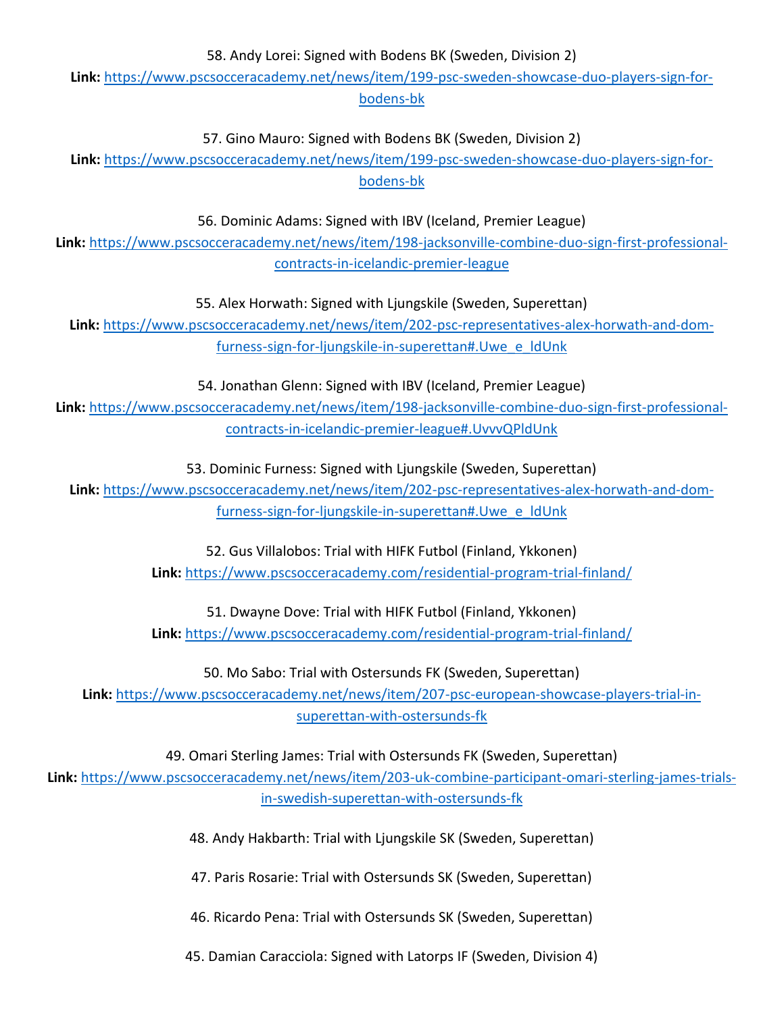#### 58. Andy Lorei: Signed with Bodens BK (Sweden, Division 2)

**Link:** [https://www.pscsocceracademy.net/news/item/199-psc-sweden-showcase-duo-players-sign-for](https://www.pscsocceracademy.net/news/item/199-psc-sweden-showcase-duo-players-sign-for-bodens-bk)[bodens-bk](https://www.pscsocceracademy.net/news/item/199-psc-sweden-showcase-duo-players-sign-for-bodens-bk)

#### 57. Gino Mauro: Signed with Bodens BK (Sweden, Division 2)

**Link:** [https://www.pscsocceracademy.net/news/item/199-psc-sweden-showcase-duo-players-sign-for](https://www.pscsocceracademy.net/news/item/199-psc-sweden-showcase-duo-players-sign-for-bodens-bk)[bodens-bk](https://www.pscsocceracademy.net/news/item/199-psc-sweden-showcase-duo-players-sign-for-bodens-bk)

56. Dominic Adams: Signed with IBV (Iceland, Premier League)

**Link:** [https://www.pscsocceracademy.net/news/item/198-jacksonville-combine-duo-sign-first-professional](https://www.pscsocceracademy.net/news/item/198-jacksonville-combine-duo-sign-first-professional-contracts-in-icelandic-premier-league)[contracts-in-icelandic-premier-league](https://www.pscsocceracademy.net/news/item/198-jacksonville-combine-duo-sign-first-professional-contracts-in-icelandic-premier-league)

55. Alex Horwath: Signed with Ljungskile (Sweden, Superettan)

**Link:** [https://www.pscsocceracademy.net/news/item/202-psc-representatives-alex-horwath-and-dom](https://www.pscsocceracademy.net/news/item/202-psc-representatives-alex-horwath-and-dom-furness-sign-for-ljungskile-in-superettan#.Uwe_e_ldUnk)[furness-sign-for-ljungskile-in-superettan#.Uwe\\_e\\_ldUnk](https://www.pscsocceracademy.net/news/item/202-psc-representatives-alex-horwath-and-dom-furness-sign-for-ljungskile-in-superettan#.Uwe_e_ldUnk)

54. Jonathan Glenn: Signed with IBV (Iceland, Premier League)

**Link:** [https://www.pscsocceracademy.net/news/item/198-jacksonville-combine-duo-sign-first-professional](https://www.pscsocceracademy.net/news/item/198-jacksonville-combine-duo-sign-first-professional-contracts-in-icelandic-premier-league#.UvvvQPldUnk)[contracts-in-icelandic-premier-league#.UvvvQPldUnk](https://www.pscsocceracademy.net/news/item/198-jacksonville-combine-duo-sign-first-professional-contracts-in-icelandic-premier-league#.UvvvQPldUnk)

53. Dominic Furness: Signed with Ljungskile (Sweden, Superettan)

**Link:** [https://www.pscsocceracademy.net/news/item/202-psc-representatives-alex-horwath-and-dom](https://www.pscsocceracademy.net/news/item/202-psc-representatives-alex-horwath-and-dom-furness-sign-for-ljungskile-in-superettan#.Uwe_e_ldUnk)[furness-sign-for-ljungskile-in-superettan#.Uwe\\_e\\_ldUnk](https://www.pscsocceracademy.net/news/item/202-psc-representatives-alex-horwath-and-dom-furness-sign-for-ljungskile-in-superettan#.Uwe_e_ldUnk)

52. Gus Villalobos: Trial with HIFK Futbol (Finland, Ykkonen)

**Link:** <https://www.pscsocceracademy.com/residential-program-trial-finland/>

51. Dwayne Dove: Trial with HIFK Futbol (Finland, Ykkonen)

**Link:** <https://www.pscsocceracademy.com/residential-program-trial-finland/>

50. Mo Sabo: Trial with Ostersunds FK (Sweden, Superettan)

**Link:** [https://www.pscsocceracademy.net/news/item/207-psc-european-showcase-players-trial-in](https://www.pscsocceracademy.net/news/item/207-psc-european-showcase-players-trial-in-superettan-with-ostersunds-fk)[superettan-with-ostersunds-fk](https://www.pscsocceracademy.net/news/item/207-psc-european-showcase-players-trial-in-superettan-with-ostersunds-fk)

49. Omari Sterling James: Trial with Ostersunds FK (Sweden, Superettan)

**Link:** [https://www.pscsocceracademy.net/news/item/203-uk-combine-participant-omari-sterling-james-trials](https://www.pscsocceracademy.net/news/item/203-uk-combine-participant-omari-sterling-james-trials-in-swedish-superettan-with-ostersunds-fk)[in-swedish-superettan-with-ostersunds-fk](https://www.pscsocceracademy.net/news/item/203-uk-combine-participant-omari-sterling-james-trials-in-swedish-superettan-with-ostersunds-fk)

48. Andy Hakbarth: Trial with Ljungskile SK (Sweden, Superettan)

47. Paris Rosarie: Trial with Ostersunds SK (Sweden, Superettan)

46. Ricardo Pena: Trial with Ostersunds SK (Sweden, Superettan)

45. Damian Caracciola: Signed with Latorps IF (Sweden, Division 4)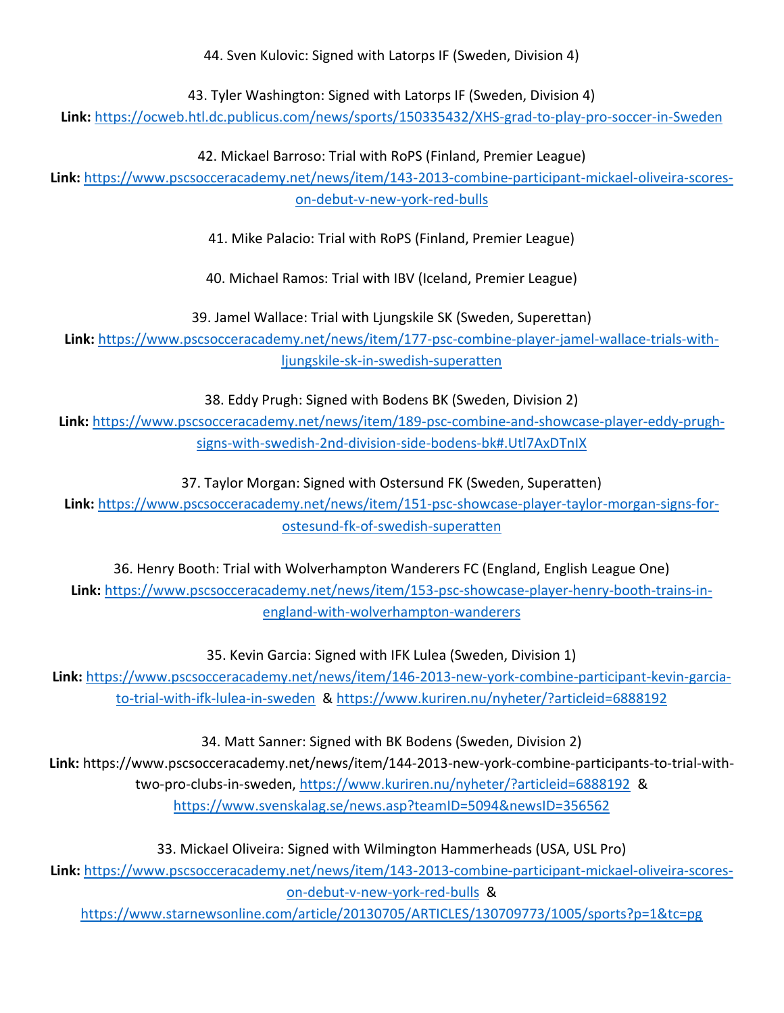44. Sven Kulovic: Signed with Latorps IF (Sweden, Division 4)

43. Tyler Washington: Signed with Latorps IF (Sweden, Division 4)

**Link:** <https://ocweb.htl.dc.publicus.com/news/sports/150335432/XHS-grad-to-play-pro-soccer-in-Sweden>

42. Mickael Barroso: Trial with RoPS (Finland, Premier League)

**Link:** [https://www.pscsocceracademy.net/news/item/143-2013-combine-participant-mickael-oliveira-scores](https://www.pscsocceracademy.net/news/item/143-2013-combine-participant-mickael-oliveira-scores-on-debut-v-new-york-red-bulls)[on-debut-v-new-york-red-bulls](https://www.pscsocceracademy.net/news/item/143-2013-combine-participant-mickael-oliveira-scores-on-debut-v-new-york-red-bulls)

41. Mike Palacio: Trial with RoPS (Finland, Premier League)

40. Michael Ramos: Trial with IBV (Iceland, Premier League)

39. Jamel Wallace: Trial with Ljungskile SK (Sweden, Superettan)

**Link:** [https://www.pscsocceracademy.net/news/item/177-psc-combine-player-jamel-wallace-trials-with](https://www.pscsocceracademy.net/news/item/177-psc-combine-player-jamel-wallace-trials-with-ljungskile-sk-in-swedish-superatten)[ljungskile-sk-in-swedish-superatten](https://www.pscsocceracademy.net/news/item/177-psc-combine-player-jamel-wallace-trials-with-ljungskile-sk-in-swedish-superatten)

38. Eddy Prugh: Signed with Bodens BK (Sweden, Division 2)

**Link:** [https://www.pscsocceracademy.net/news/item/189-psc-combine-and-showcase-player-eddy-prugh](https://www.pscsocceracademy.net/news/item/189-psc-combine-and-showcase-player-eddy-prugh-signs-with-swedish-2nd-division-side-bodens-bk#.Utl7AxDTnIX)[signs-with-swedish-2nd-division-side-bodens-bk#.Utl7AxDTnIX](https://www.pscsocceracademy.net/news/item/189-psc-combine-and-showcase-player-eddy-prugh-signs-with-swedish-2nd-division-side-bodens-bk#.Utl7AxDTnIX)

37. Taylor Morgan: Signed with Ostersund FK (Sweden, Superatten)

**Link:** [https://www.pscsocceracademy.net/news/item/151-psc-showcase-player-taylor-morgan-signs-for](https://www.pscsocceracademy.net/news/item/151-psc-showcase-player-taylor-morgan-signs-for-ostesund-fk-of-swedish-superatten)[ostesund-fk-of-swedish-superatten](https://www.pscsocceracademy.net/news/item/151-psc-showcase-player-taylor-morgan-signs-for-ostesund-fk-of-swedish-superatten)

36. Henry Booth: Trial with Wolverhampton Wanderers FC (England, English League One) **Link:** [https://www.pscsocceracademy.net/news/item/153-psc-showcase-player-henry-booth-trains-in](https://www.pscsocceracademy.net/news/item/153-psc-showcase-player-henry-booth-trains-in-england-with-wolverhampton-wanderers)[england-with-wolverhampton-wanderers](https://www.pscsocceracademy.net/news/item/153-psc-showcase-player-henry-booth-trains-in-england-with-wolverhampton-wanderers)

35. Kevin Garcia: Signed with IFK Lulea (Sweden, Division 1)

**Link:** [https://www.pscsocceracademy.net/news/item/146-2013-new-york-combine-participant-kevin-garcia](https://www.pscsocceracademy.net/news/item/146-2013-new-york-combine-participant-kevin-garcia-to-trial-with-ifk-lulea-in-sweden)[to-trial-with-ifk-lulea-in-sweden](https://www.pscsocceracademy.net/news/item/146-2013-new-york-combine-participant-kevin-garcia-to-trial-with-ifk-lulea-in-sweden) &<https://www.kuriren.nu/nyheter/?articleid=6888192>

34. Matt Sanner: Signed with BK Bodens (Sweden, Division 2)

**Link:** https://www.pscsocceracademy.net/news/item/144-2013-new-york-combine-participants-to-trial-withtwo-pro-clubs-in-sweden,<https://www.kuriren.nu/nyheter/?articleid=6888192> & <https://www.svenskalag.se/news.asp?teamID=5094&newsID=356562>

33. Mickael Oliveira: Signed with Wilmington Hammerheads (USA, USL Pro)

**Link:** [https://www.pscsocceracademy.net/news/item/143-2013-combine-participant-mickael-oliveira-scores](https://www.pscsocceracademy.net/news/item/143-2013-combine-participant-mickael-oliveira-scores-on-debut-v-new-york-red-bulls)[on-debut-v-new-york-red-bulls](https://www.pscsocceracademy.net/news/item/143-2013-combine-participant-mickael-oliveira-scores-on-debut-v-new-york-red-bulls) &

<https://www.starnewsonline.com/article/20130705/ARTICLES/130709773/1005/sports?p=1&tc=pg>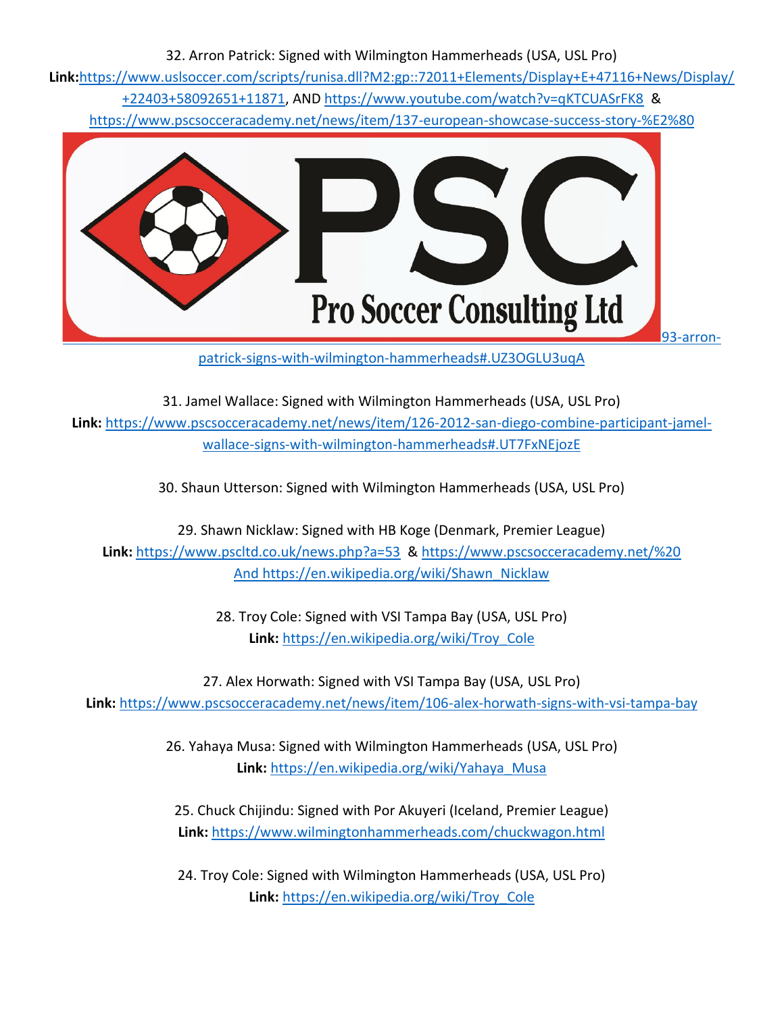#### 32. Arron Patrick: Signed with Wilmington Hammerheads (USA, USL Pro)

**Link:**[https://www.uslsoccer.com/scripts/runisa.dll?M2:gp::72011+Elements/Display+E+47116+News/Display/](https://www.uslsoccer.com/scripts/runisa.dll?M2:gp::72011+Elements/Display+E+47116+News/Display/+22403+58092651+11871) [+22403+58092651+11871,](https://www.uslsoccer.com/scripts/runisa.dll?M2:gp::72011+Elements/Display+E+47116+News/Display/+22403+58092651+11871) AND <https://www.youtube.com/watch?v=qKTCUASrFK8> &

[https://www.pscsocceracademy.net/news/item/137-european-showcase-success-story-%E2%80](https://www.pscsocceracademy.net/news/item/137-european-showcase-success-story-%E2%80%93-arron-patrick-signs-with-wilmington-hammerheads#.UZ3OGLU3uqA)



[patrick-signs-with-wilmington-hammerheads#.UZ3OGLU3uqA](https://www.pscsocceracademy.net/news/item/137-european-showcase-success-story-%E2%80%93-arron-patrick-signs-with-wilmington-hammerheads#.UZ3OGLU3uqA)

31. Jamel Wallace: Signed with Wilmington Hammerheads (USA, USL Pro) **Link:** [https://www.pscsocceracademy.net/news/item/126-2012-san-diego-combine-participant-jamel](https://www.pscsocceracademy.net/news/item/126-2012-san-diego-combine-participant-jamel-wallace-signs-with-wilmington-hammerheads#.UT7FxNEjozE)[wallace-signs-with-wilmington-hammerheads#.UT7FxNEjozE](https://www.pscsocceracademy.net/news/item/126-2012-san-diego-combine-participant-jamel-wallace-signs-with-wilmington-hammerheads#.UT7FxNEjozE)

30. Shaun Utterson: Signed with Wilmington Hammerheads (USA, USL Pro)

29. Shawn Nicklaw: Signed with HB Koge (Denmark, Premier League) **Link:** <https://www.pscltd.co.uk/news.php?a=53> & [https://www.pscsocceracademy.net/%20](https://www.pscsocceracademy.net/%20%20And%20https:/en.wikipedia.org/wiki/Shawn_Nicklaw)  [And https://en.wikipedia.org/wiki/Shawn\\_Nicklaw](https://www.pscsocceracademy.net/%20%20And%20https:/en.wikipedia.org/wiki/Shawn_Nicklaw)

> 28. Troy Cole: Signed with VSI Tampa Bay (USA, USL Pro) **Link:** [https://en.wikipedia.org/wiki/Troy\\_Cole](https://en.wikipedia.org/wiki/Troy_Cole)

27. Alex Horwath: Signed with VSI Tampa Bay (USA, USL Pro) **Link:** <https://www.pscsocceracademy.net/news/item/106-alex-horwath-signs-with-vsi-tampa-bay>

> 26. Yahaya Musa: Signed with Wilmington Hammerheads (USA, USL Pro) **Link:** [https://en.wikipedia.org/wiki/Yahaya\\_Musa](https://en.wikipedia.org/wiki/Yahaya_Musa)

25. Chuck Chijindu: Signed with Por Akuyeri (Iceland, Premier League) **Link:** <https://www.wilmingtonhammerheads.com/chuckwagon.html>

24. Troy Cole: Signed with Wilmington Hammerheads (USA, USL Pro) **Link:** [https://en.wikipedia.org/wiki/Troy\\_Cole](https://en.wikipedia.org/wiki/Troy_Cole)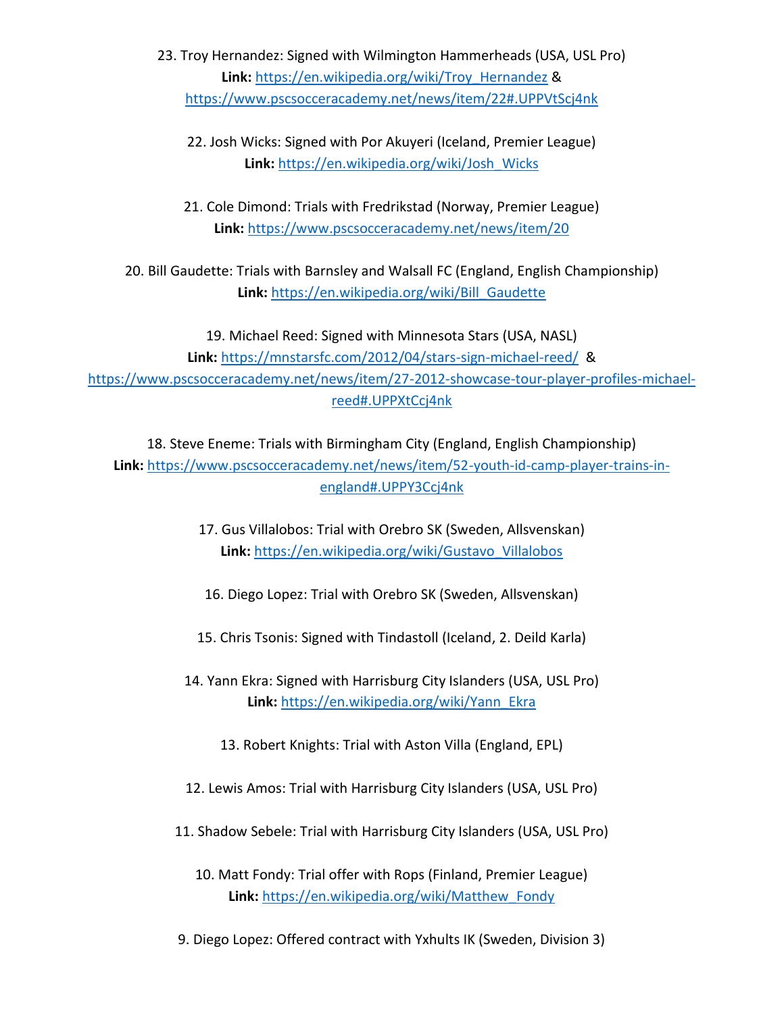23. Troy Hernandez: Signed with Wilmington Hammerheads (USA, USL Pro) **Link:** [https://en.wikipedia.org/wiki/Troy\\_Hernandez](https://en.wikipedia.org/wiki/Troy_Hernandez) & <https://www.pscsocceracademy.net/news/item/22#.UPPVtScj4nk>

- 22. Josh Wicks: Signed with Por Akuyeri (Iceland, Premier League) **Link:** [https://en.wikipedia.org/wiki/Josh\\_Wicks](https://en.wikipedia.org/wiki/Josh_Wicks)
- 21. Cole Dimond: Trials with Fredrikstad (Norway, Premier League) **Link:** <https://www.pscsocceracademy.net/news/item/20>

20. Bill Gaudette: Trials with Barnsley and Walsall FC (England, English Championship) **Link:** [https://en.wikipedia.org/wiki/Bill\\_Gaudette](https://en.wikipedia.org/wiki/Bill_Gaudette)

19. Michael Reed: Signed with Minnesota Stars (USA, NASL) **Link:** <https://mnstarsfc.com/2012/04/stars-sign-michael-reed/> & [https://www.pscsocceracademy.net/news/item/27-2012-showcase-tour-player-profiles-michael](https://www.pscsocceracademy.net/news/item/27-2012-showcase-tour-player-profiles-michael-reed#.UPPXtCcj4nk)[reed#.UPPXtCcj4nk](https://www.pscsocceracademy.net/news/item/27-2012-showcase-tour-player-profiles-michael-reed#.UPPXtCcj4nk)

18. Steve Eneme: Trials with Birmingham City (England, English Championship) **Link:** [https://www.pscsocceracademy.net/news/item/52-youth-id-camp-player-trains-in](https://www.pscsocceracademy.net/news/item/52-youth-id-camp-player-trains-in-england#.UPPY3Ccj4nk)[england#.UPPY3Ccj4nk](https://www.pscsocceracademy.net/news/item/52-youth-id-camp-player-trains-in-england#.UPPY3Ccj4nk)

- 17. Gus Villalobos: Trial with Orebro SK (Sweden, Allsvenskan) **Link:** [https://en.wikipedia.org/wiki/Gustavo\\_Villalobos](https://en.wikipedia.org/wiki/Gustavo_Villalobos)
- 16. Diego Lopez: Trial with Orebro SK (Sweden, Allsvenskan)
- 15. Chris Tsonis: Signed with Tindastoll (Iceland, 2. Deild Karla)
- 14. Yann Ekra: Signed with Harrisburg City Islanders (USA, USL Pro) **Link:** [https://en.wikipedia.org/wiki/Yann\\_Ekra](https://en.wikipedia.org/wiki/Yann_Ekra)
	- 13. Robert Knights: Trial with Aston Villa (England, EPL)
- 12. Lewis Amos: Trial with Harrisburg City Islanders (USA, USL Pro)
- 11. Shadow Sebele: Trial with Harrisburg City Islanders (USA, USL Pro)
	- 10. Matt Fondy: Trial offer with Rops (Finland, Premier League) **Link:** [https://en.wikipedia.org/wiki/Matthew\\_Fondy](https://en.wikipedia.org/wiki/Matthew_Fondy)
- 9. Diego Lopez: Offered contract with Yxhults IK (Sweden, Division 3)